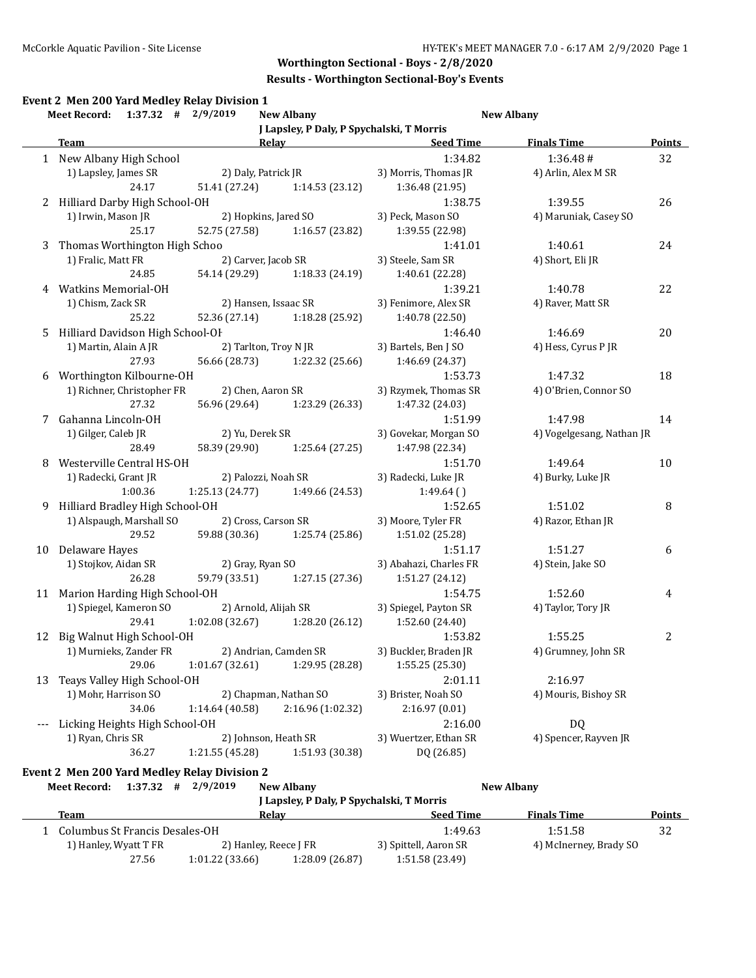### **Results - Worthington Sectional-Boy's Events**

|    | Meet Record: 1:37.32 # 2/9/2019               |                       | <b>New Albany</b>                                                                                                                                                                                                              |                        | <b>New Albany</b>         |        |
|----|-----------------------------------------------|-----------------------|--------------------------------------------------------------------------------------------------------------------------------------------------------------------------------------------------------------------------------|------------------------|---------------------------|--------|
|    |                                               |                       | J Lapsley, P Daly, P Spychalski, T Morris                                                                                                                                                                                      |                        |                           |        |
|    | <b>Team</b>                                   |                       | Relay Relay and the contract of the contract of the contract of the contract of the contract of the contract of the contract of the contract of the contract of the contract of the contract of the contract of the contract o | <b>Seed Time</b>       | <b>Finals Time</b>        | Points |
|    | 1 New Albany High School                      |                       |                                                                                                                                                                                                                                | 1:34.82                | 1:36.48#                  | 32     |
|    | 1) Lapsley, James SR                          | 2) Daly, Patrick JR   |                                                                                                                                                                                                                                | 3) Morris, Thomas JR   | 4) Arlin, Alex M SR       |        |
|    | 24.17                                         | 51.41 (27.24)         | 1:14.53 (23.12)                                                                                                                                                                                                                | 1:36.48 (21.95)        |                           |        |
|    | 2 Hilliard Darby High School-OH               |                       |                                                                                                                                                                                                                                | 1:38.75                | 1:39.55                   | 26     |
|    | 1) Irwin, Mason JR                            | 2) Hopkins, Jared SO  |                                                                                                                                                                                                                                | 3) Peck, Mason SO      | 4) Maruniak, Casey SO     |        |
|    | 25.17                                         | 52.75 (27.58)         | 1:16.57(23.82)                                                                                                                                                                                                                 | 1:39.55 (22.98)        |                           |        |
| 3  | Thomas Worthington High Schoo                 |                       |                                                                                                                                                                                                                                | 1:41.01                | 1:40.61                   | 24     |
|    | 1) Fralic, Matt FR                            | 2) Carver, Jacob SR   |                                                                                                                                                                                                                                | 3) Steele, Sam SR      | 4) Short, Eli JR          |        |
|    | 24.85                                         | 54.14 (29.29)         | 1:18.33 (24.19)                                                                                                                                                                                                                | 1:40.61 (22.28)        |                           |        |
| 4  | <b>Watkins Memorial-OH</b>                    |                       |                                                                                                                                                                                                                                | 1:39.21                | 1:40.78                   | 22     |
|    | 1) Chism, Zack SR                             | 2) Hansen, Issaac SR  |                                                                                                                                                                                                                                | 3) Fenimore, Alex SR   | 4) Raver, Matt SR         |        |
|    | 25.22                                         |                       | 52.36 (27.14) 1:18.28 (25.92)                                                                                                                                                                                                  | 1:40.78 (22.50)        |                           |        |
| 5  | Hilliard Davidson High School-OF              |                       |                                                                                                                                                                                                                                | 1:46.40                | 1:46.69                   | 20     |
|    | 1) Martin, Alain A JR                         | 2) Tarlton, Troy N JR |                                                                                                                                                                                                                                | 3) Bartels, Ben J SO   | 4) Hess, Cyrus P JR       |        |
|    | 27.93                                         |                       | 56.66 (28.73) 1:22.32 (25.66)                                                                                                                                                                                                  | 1:46.69 (24.37)        |                           |        |
| 6  | Worthington Kilbourne-OH                      |                       |                                                                                                                                                                                                                                | 1:53.73                | 1:47.32                   | 18     |
|    | 1) Richner, Christopher FR                    | 2) Chen, Aaron SR     |                                                                                                                                                                                                                                | 3) Rzymek, Thomas SR   | 4) O'Brien, Connor SO     |        |
|    | 27.32                                         | 56.96 (29.64)         | 1:23.29 (26.33)                                                                                                                                                                                                                | 1:47.32 (24.03)        |                           |        |
| 7  | Gahanna Lincoln-OH                            |                       |                                                                                                                                                                                                                                | 1:51.99                | 1:47.98                   | 14     |
|    | 1) Gilger, Caleb JR                           | 2) Yu, Derek SR       |                                                                                                                                                                                                                                | 3) Govekar, Morgan SO  | 4) Vogelgesang, Nathan JR |        |
|    | 28.49                                         | 58.39 (29.90)         | 1:25.64 (27.25)                                                                                                                                                                                                                | 1:47.98 (22.34)        |                           |        |
| 8  | Westerville Central HS-OH                     |                       |                                                                                                                                                                                                                                | 1:51.70                | 1:49.64                   | 10     |
|    | 1) Radecki, Grant JR                          | 2) Palozzi, Noah SR   |                                                                                                                                                                                                                                | 3) Radecki, Luke JR    | 4) Burky, Luke JR         |        |
|    | 1:00.36                                       | 1:25.13 (24.77)       | 1:49.66 (24.53)                                                                                                                                                                                                                | 1:49.64()              |                           |        |
| 9  | Hilliard Bradley High School-OH               |                       |                                                                                                                                                                                                                                | 1:52.65                | 1:51.02                   | 8      |
|    | 1) Alspaugh, Marshall SO                      | 2) Cross, Carson SR   |                                                                                                                                                                                                                                | 3) Moore, Tyler FR     | 4) Razor, Ethan JR        |        |
|    | 29.52                                         | 59.88 (30.36)         | 1:25.74 (25.86)                                                                                                                                                                                                                | 1:51.02 (25.28)        |                           |        |
| 10 | Delaware Hayes                                |                       |                                                                                                                                                                                                                                | 1:51.17                | 1:51.27                   | 6      |
|    | 1) Stojkov, Aidan SR                          | 2) Gray, Ryan SO      |                                                                                                                                                                                                                                | 3) Abahazi, Charles FR | 4) Stein, Jake SO         |        |
|    | 26.28                                         | 59.79 (33.51)         | 1:27.15 (27.36)                                                                                                                                                                                                                | 1:51.27 (24.12)        |                           |        |
|    | 11 Marion Harding High School-OH              |                       |                                                                                                                                                                                                                                | 1:54.75                | 1:52.60                   | 4      |
|    | 1) Spiegel, Kameron SO                        | 2) Arnold, Alijah SR  |                                                                                                                                                                                                                                | 3) Spiegel, Payton SR  | 4) Taylor, Tory JR        |        |
|    | 29.41                                         | 1:02.08(32.67)        | 1:28.20 (26.12)                                                                                                                                                                                                                | 1:52.60 (24.40)        |                           |        |
|    | 12 Big Walnut High School-OH                  |                       |                                                                                                                                                                                                                                | 1:53.82                | 1:55.25                   | 2      |
|    | 1) Murnieks, Zander FR                        |                       | 2) Andrian, Camden SR                                                                                                                                                                                                          | 3) Buckler, Braden JR  | 4) Grumney, John SR       |        |
|    | 29.06                                         | 1:01.67 (32.61)       | 1:29.95 (28.28)                                                                                                                                                                                                                | 1:55.25 (25.30)        |                           |        |
| 13 | Teays Valley High School-OH                   |                       |                                                                                                                                                                                                                                | 2:01.11                | 2:16.97                   |        |
|    | 1) Mohr, Harrison SO                          |                       | 2) Chapman, Nathan SO                                                                                                                                                                                                          | 3) Brister, Noah SO    | 4) Mouris, Bishoy SR      |        |
|    | 34.06                                         | 1:14.64 (40.58)       | 2:16.96 (1:02.32)                                                                                                                                                                                                              | 2:16.97(0.01)          |                           |        |
|    | Licking Heights High School-OH                |                       |                                                                                                                                                                                                                                | 2:16.00                | DQ                        |        |
|    | 1) Ryan, Chris SR                             | 2) Johnson, Heath SR  |                                                                                                                                                                                                                                | 3) Wuertzer, Ethan SR  | 4) Spencer, Rayven JR     |        |
|    | 36.27                                         | 1:21.55 (45.28)       | 1:51.93 (30.38)                                                                                                                                                                                                                | DQ (26.85)             |                           |        |
|    |                                               |                       |                                                                                                                                                                                                                                |                        |                           |        |
|    | Event 2 Men 200 Yard Medley Relay Division 2  |                       |                                                                                                                                                                                                                                |                        |                           |        |
|    | $1:37.32$ # $2/9/2019$<br><b>Meet Record:</b> |                       | <b>New Albany</b>                                                                                                                                                                                                              |                        | <b>New Albany</b>         |        |

| J Lapsley, P Daly, P Spychalski, T Morris |                       |                |                       |                        |               |  |  |
|-------------------------------------------|-----------------------|----------------|-----------------------|------------------------|---------------|--|--|
| Team                                      | Relav                 |                | <b>Seed Time</b>      | <b>Finals Time</b>     | <b>Points</b> |  |  |
| Columbus St Francis Desales-OH            |                       |                | 1:49.63               | 1:51.58                | 32            |  |  |
| 1) Hanley, Wyatt T FR                     | 2) Hanley, Reece J FR |                | 3) Spittell, Aaron SR | 4) McInerney, Brady SO |               |  |  |
| 27.56                                     | 1:01.22(33.66)        | 1:28.09(26.87) | 1:51.58 (23.49)       |                        |               |  |  |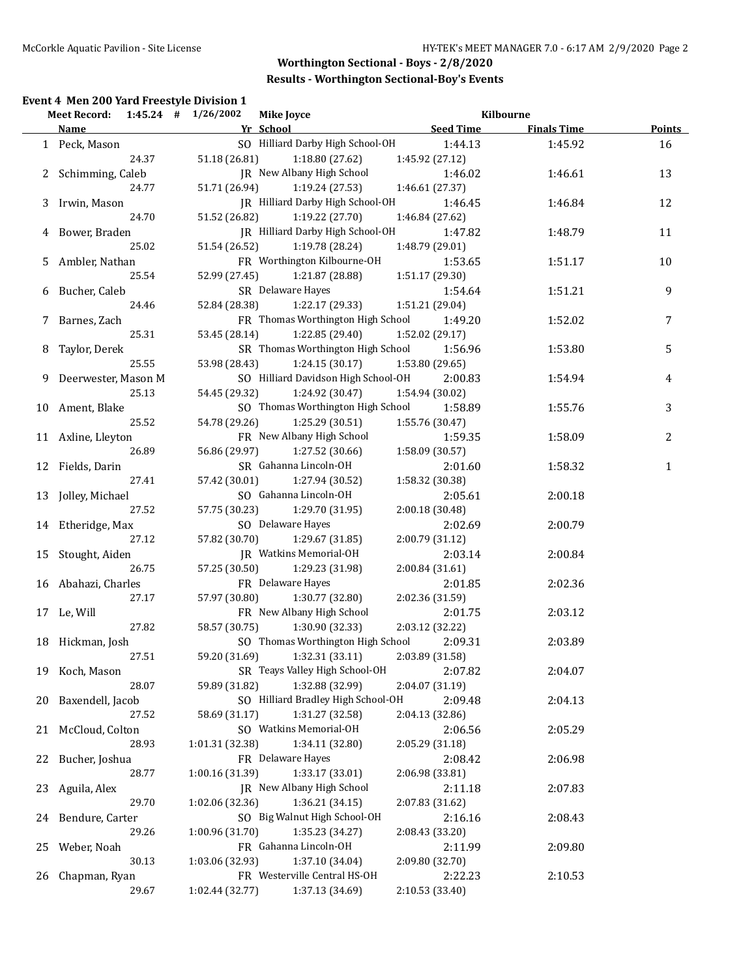|    | Event 4 Men 200 Yard Freestyle Division 1<br>Meet Record: 1:45.24 # 1/26/2002 |                 | <b>Mike Joyce</b>                            |                  | Kilbourne          |               |
|----|-------------------------------------------------------------------------------|-----------------|----------------------------------------------|------------------|--------------------|---------------|
|    | Name                                                                          |                 | Yr School                                    | <b>Seed Time</b> | <b>Finals Time</b> | <b>Points</b> |
|    | 1 Peck, Mason                                                                 |                 | SO Hilliard Darby High School-OH             | 1:44.13          | 1:45.92            | 16            |
|    | 24.37                                                                         | 51.18 (26.81)   | 1:18.80 (27.62)                              | 1:45.92 (27.12)  |                    |               |
|    | 2 Schimming, Caleb                                                            |                 | JR New Albany High School                    | 1:46.02          | 1:46.61            | 13            |
|    | 24.77                                                                         | 51.71 (26.94)   | 1:19.24(27.53)                               | 1:46.61 (27.37)  |                    |               |
|    | 3 Irwin, Mason                                                                |                 | JR Hilliard Darby High School-OH             | 1:46.45          | 1:46.84            | 12            |
|    | 24.70                                                                         | 51.52 (26.82)   | 1:19.22 (27.70)                              | 1:46.84 (27.62)  |                    |               |
|    | 4 Bower, Braden                                                               |                 | JR Hilliard Darby High School-OH             | 1:47.82          | 1:48.79            | 11            |
|    | 25.02                                                                         | 51.54 (26.52)   | 1:19.78 (28.24)                              | 1:48.79 (29.01)  |                    |               |
|    | 5 Ambler, Nathan                                                              |                 | FR Worthington Kilbourne-OH                  | 1:53.65          | 1:51.17            | 10            |
|    | 25.54                                                                         | 52.99 (27.45)   | 1:21.87 (28.88)                              | 1:51.17 (29.30)  |                    |               |
|    | 6 Bucher, Caleb                                                               |                 | SR Delaware Hayes                            | 1:54.64          | 1:51.21            | 9             |
|    | 24.46                                                                         | 52.84 (28.38)   | 1:22.17 (29.33)                              | 1:51.21 (29.04)  |                    |               |
|    | 7 Barnes, Zach                                                                |                 | FR Thomas Worthington High School            | 1:49.20          | 1:52.02            | 7             |
|    | 25.31                                                                         | 53.45 (28.14)   | 1:22.85 (29.40)                              | 1:52.02 (29.17)  |                    |               |
| 8  | Taylor, Derek                                                                 |                 | SR Thomas Worthington High School            | 1:56.96          | 1:53.80            | 5             |
|    | 25.55                                                                         | 53.98 (28.43)   | 1:24.15(30.17)                               | 1:53.80 (29.65)  |                    |               |
|    | 9 Deerwester, Mason M                                                         |                 | SO Hilliard Davidson High School-OH          | 2:00.83          | 1:54.94            | 4             |
|    | 25.13                                                                         | 54.45 (29.32)   | 1:24.92 (30.47)                              | 1:54.94 (30.02)  |                    |               |
|    |                                                                               |                 | SO Thomas Worthington High School            | 1:58.89          | 1:55.76            | 3             |
|    | 10 Ament, Blake<br>25.52                                                      | 54.78 (29.26)   |                                              |                  |                    |               |
|    |                                                                               |                 | 1:25.29 (30.51)<br>FR New Albany High School | 1:55.76 (30.47)  |                    |               |
|    | 11 Axline, Lleyton                                                            |                 |                                              | 1:59.35          | 1:58.09            | 2             |
|    | 26.89                                                                         | 56.86 (29.97)   | 1:27.52 (30.66)                              | 1:58.09 (30.57)  |                    |               |
|    | 12 Fields, Darin                                                              |                 | SR Gahanna Lincoln-OH                        | 2:01.60          | 1:58.32            | $\mathbf{1}$  |
|    | 27.41                                                                         | 57.42 (30.01)   | 1:27.94 (30.52)                              | 1:58.32 (30.38)  |                    |               |
|    | 13 Jolley, Michael                                                            |                 | SO Gahanna Lincoln-OH                        | 2:05.61          | 2:00.18            |               |
|    | 27.52                                                                         | 57.75 (30.23)   | 1:29.70 (31.95)                              | 2:00.18 (30.48)  |                    |               |
|    | 14 Etheridge, Max                                                             |                 | SO Delaware Hayes                            | 2:02.69          | 2:00.79            |               |
|    | 27.12                                                                         | 57.82 (30.70)   | 1:29.67 (31.85)                              | 2:00.79 (31.12)  |                    |               |
|    | 15 Stought, Aiden                                                             |                 | JR Watkins Memorial-OH                       | 2:03.14          | 2:00.84            |               |
|    | 26.75                                                                         | 57.25 (30.50)   | 1:29.23 (31.98)                              | 2:00.84 (31.61)  |                    |               |
|    | 16 Abahazi, Charles                                                           |                 | FR Delaware Hayes                            | 2:01.85          | 2:02.36            |               |
|    | 27.17                                                                         | 57.97 (30.80)   | 1:30.77 (32.80)                              | 2:02.36 (31.59)  |                    |               |
|    | 17 Le, Will                                                                   |                 | FR New Albany High School                    | 2:01.75          | 2:03.12            |               |
|    | 27.82                                                                         | 58.57 (30.75)   | 1:30.90 (32.33)                              | 2:03.12 (32.22)  |                    |               |
|    | 18 Hickman, Josh                                                              |                 | SO Thomas Worthington High School            | 2:09.31          | 2:03.89            |               |
|    | 27.51                                                                         | 59.20 (31.69)   | 1:32.31 (33.11)                              | 2:03.89 (31.58)  |                    |               |
|    | 19 Koch, Mason                                                                |                 | SR Teays Valley High School-OH               | 2:07.82          | 2:04.07            |               |
|    | 28.07                                                                         | 59.89 (31.82)   | 1:32.88 (32.99)                              | 2:04.07 (31.19)  |                    |               |
| 20 | Baxendell, Jacob                                                              |                 | SO Hilliard Bradley High School-OH           | 2:09.48          | 2:04.13            |               |
|    | 27.52                                                                         | 58.69 (31.17)   | 1:31.27 (32.58)                              | 2:04.13 (32.86)  |                    |               |
|    | 21 McCloud, Colton                                                            |                 | SO Watkins Memorial-OH                       | 2:06.56          | 2:05.29            |               |
|    | 28.93                                                                         | 1:01.31 (32.38) | 1:34.11 (32.80)                              | 2:05.29 (31.18)  |                    |               |
| 22 | Bucher, Joshua                                                                |                 | FR Delaware Hayes                            | 2:08.42          | 2:06.98            |               |
|    | 28.77                                                                         | 1:00.16 (31.39) | 1:33.17 (33.01)                              | 2:06.98 (33.81)  |                    |               |
| 23 | Aguila, Alex                                                                  |                 | JR New Albany High School                    | 2:11.18          | 2:07.83            |               |
|    | 29.70                                                                         | 1:02.06 (32.36) | 1:36.21 (34.15)                              | 2:07.83 (31.62)  |                    |               |
| 24 | Bendure, Carter                                                               |                 | SO Big Walnut High School-OH                 | 2:16.16          | 2:08.43            |               |
|    | 29.26                                                                         | 1:00.96 (31.70) | 1:35.23 (34.27)                              | 2:08.43 (33.20)  |                    |               |
| 25 | Weber, Noah                                                                   |                 | FR Gahanna Lincoln-OH                        | 2:11.99          | 2:09.80            |               |
|    | 30.13                                                                         | 1:03.06 (32.93) | 1:37.10 (34.04)                              | 2:09.80 (32.70)  |                    |               |
|    | Chapman, Ryan                                                                 |                 | FR Westerville Central HS-OH                 | 2:22.23          |                    |               |
| 26 |                                                                               |                 |                                              |                  | 2:10.53            |               |
|    | 29.67                                                                         | 1:02.44 (32.77) | 1:37.13 (34.69)                              | 2:10.53 (33.40)  |                    |               |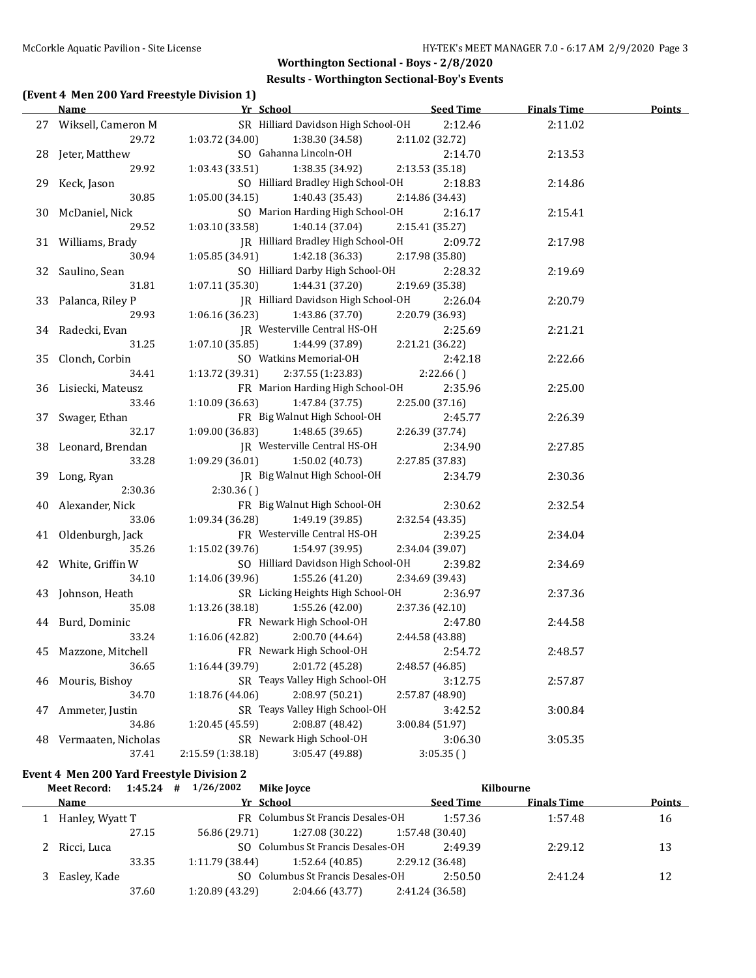### **Results - Worthington Sectional-Boy's Events**

## **(Event 4 Men 200 Yard Freestyle Division 1)**

|    | <b>Name</b>           | Yr School                            | <b>Seed Time</b> | <b>Finals Time</b> | <b>Points</b> |
|----|-----------------------|--------------------------------------|------------------|--------------------|---------------|
|    | 27 Wiksell, Cameron M | SR Hilliard Davidson High School-OH  | 2:12.46          | 2:11.02            |               |
|    | 29.72                 | 1:03.72 (34.00)<br>1:38.30 (34.58)   | 2:11.02 (32.72)  |                    |               |
|    | 28 Jeter, Matthew     | SO Gahanna Lincoln-OH                | 2:14.70          | 2:13.53            |               |
|    | 29.92                 | 1:03.43 (33.51)<br>1:38.35 (34.92)   | 2:13.53 (35.18)  |                    |               |
|    | 29 Keck, Jason        | SO Hilliard Bradley High School-OH   | 2:18.83          | 2:14.86            |               |
|    | 30.85                 | 1:05.00(34.15)<br>1:40.43 (35.43)    | 2:14.86 (34.43)  |                    |               |
|    | 30 McDaniel, Nick     | SO Marion Harding High School-OH     | 2:16.17          | 2:15.41            |               |
|    | 29.52                 | 1:03.10 (33.58)<br>1:40.14 (37.04)   | 2:15.41 (35.27)  |                    |               |
|    | 31 Williams, Brady    | JR Hilliard Bradley High School-OH   | 2:09.72          | 2:17.98            |               |
|    | 30.94                 | $1:05.85(34.91)$ $1:42.18(36.33)$    | 2:17.98 (35.80)  |                    |               |
|    | 32 Saulino, Sean      | SO Hilliard Darby High School-OH     | 2:28.32          | 2:19.69            |               |
|    | 31.81                 | 1:07.11(35.30)<br>1:44.31 (37.20)    | 2:19.69 (35.38)  |                    |               |
|    | 33 Palanca, Riley P   | JR Hilliard Davidson High School-OH  | 2:26.04          | 2:20.79            |               |
|    | 29.93                 | 1:06.16(36.23)<br>1:43.86 (37.70)    | 2:20.79 (36.93)  |                    |               |
|    | 34 Radecki, Evan      | JR Westerville Central HS-OH         | 2:25.69          | 2:21.21            |               |
|    | 31.25                 | 1:44.99 (37.89)<br>1:07.10(35.85)    | 2:21.21 (36.22)  |                    |               |
|    | 35 Clonch, Corbin     | SO Watkins Memorial-OH               | 2:42.18          | 2:22.66            |               |
|    | 34.41                 | 1:13.72 (39.31)<br>2:37.55 (1:23.83) | 2:22.66()        |                    |               |
|    | 36 Lisiecki, Mateusz  | FR Marion Harding High School-OH     | 2:35.96          | 2:25.00            |               |
|    | 33.46                 | 1:10.09(36.63)<br>1:47.84 (37.75)    | 2:25.00 (37.16)  |                    |               |
|    | 37 Swager, Ethan      | FR Big Walnut High School-OH         | 2:45.77          | 2:26.39            |               |
|    | 32.17                 | 1:09.00(36.83)<br>1:48.65 (39.65)    | 2:26.39 (37.74)  |                    |               |
|    | 38 Leonard, Brendan   | JR Westerville Central HS-OH         | 2:34.90          | 2:27.85            |               |
|    | 33.28                 | 1:09.29(36.01)<br>1:50.02 (40.73)    | 2:27.85 (37.83)  |                    |               |
|    | 39 Long, Ryan         | JR Big Walnut High School-OH         | 2:34.79          | 2:30.36            |               |
|    | 2:30.36               | 2:30.36()                            |                  |                    |               |
|    | 40 Alexander, Nick    | FR Big Walnut High School-OH         | 2:30.62          | 2:32.54            |               |
|    | 33.06                 | 1:09.34 (36.28)<br>1:49.19 (39.85)   | 2:32.54 (43.35)  |                    |               |
|    | 41 Oldenburgh, Jack   | FR Westerville Central HS-OH         | 2:39.25          | 2:34.04            |               |
|    | 35.26                 | 1:15.02 (39.76)<br>1:54.97 (39.95)   | 2:34.04 (39.07)  |                    |               |
|    | 42 White, Griffin W   | SO Hilliard Davidson High School-OH  | 2:39.82          | 2:34.69            |               |
|    | 34.10                 | 1:14.06 (39.96)<br>1:55.26(41.20)    | 2:34.69 (39.43)  |                    |               |
|    | 43 Johnson, Heath     | SR Licking Heights High School-OH    | 2:36.97          | 2:37.36            |               |
|    | 35.08                 | 1:13.26 (38.18)<br>1:55.26 (42.00)   | 2:37.36 (42.10)  |                    |               |
|    | 44 Burd, Dominic      | FR Newark High School-OH             | 2:47.80          | 2:44.58            |               |
|    | 33.24                 | 1:16.06 (42.82)<br>2:00.70 (44.64)   | 2:44.58 (43.88)  |                    |               |
|    | 45 Mazzone, Mitchell  | FR Newark High School-OH             | 2:54.72          | 2:48.57            |               |
|    | 36.65                 | 1:16.44 (39.79)<br>2:01.72 (45.28)   | 2:48.57 (46.85)  |                    |               |
| 46 | Mouris, Bishoy        | SR Teays Valley High School-OH       | 3:12.75          | 2:57.87            |               |
|    | 34.70                 | 1:18.76 (44.06)<br>2:08.97 (50.21)   | 2:57.87 (48.90)  |                    |               |
| 47 | Ammeter, Justin       | SR Teays Valley High School-OH       | 3:42.52          | 3:00.84            |               |
|    | 34.86                 | 1:20.45 (45.59)<br>2:08.87 (48.42)   | 3:00.84 (51.97)  |                    |               |
| 48 | Vermaaten, Nicholas   | SR Newark High School-OH             | 3:06.30          | 3:05.35            |               |
|    | 37.41                 | 2:15.59 (1:38.18)<br>3:05.47 (49.88) | 3:05.35()        |                    |               |

## **Event 4 Men 200 Yard Freestyle Division 2**

| <b>Meet Record:</b> | 1:45.24         | 1/26/2002<br>#  | <b>Mike Joyce</b>                 |                  | Kilbourne          |               |
|---------------------|-----------------|-----------------|-----------------------------------|------------------|--------------------|---------------|
| <b>Name</b>         |                 | Yr School       |                                   | <b>Seed Time</b> | <b>Finals Time</b> | <b>Points</b> |
|                     | Hanley, Wyatt T |                 | FR Columbus St Francis Desales-OH | 1:57.36          | 1:57.48            | 16            |
|                     | 27.15           | 56.86 (29.71)   | 1:27.08 (30.22)                   | 1:57.48 (30.40)  |                    |               |
| Ricci, Luca         |                 |                 | SO Columbus St Francis Desales-OH | 2:49.39          | 2:29.12            | 13            |
|                     | 33.35           | 1:11.79(38.44)  | 1:52.64(40.85)                    | 2:29.12 (36.48)  |                    |               |
| Easley, Kade        |                 |                 | SO Columbus St Francis Desales-OH | 2:50.50          | 2:41.24            | 12            |
|                     | 37.60           | 1:20.89 (43.29) | 2:04.66(43.77)                    | 2:41.24 (36.58)  |                    |               |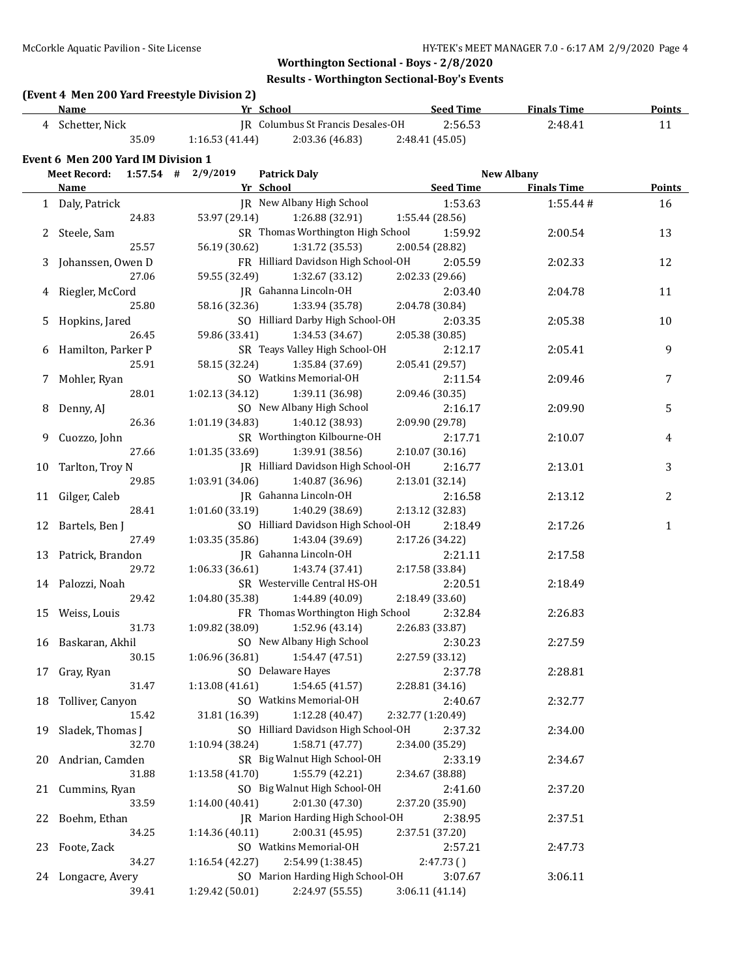# **(Event 4 Men 200 Yard Freestyle Division 2)**

| <b>Name</b>                        |                |                | Yr School                         | <b>Seed Time</b> | <b>Finals Time</b> | <b>Points</b> |  |
|------------------------------------|----------------|----------------|-----------------------------------|------------------|--------------------|---------------|--|
| 4                                  | Schetter, Nick |                | IR Columbus St Francis Desales-OH | 2:56.53          | 2:48.41            | 11            |  |
|                                    | 35.09          | 1:16.53(41.44) | 2:03.36 (46.83)                   | 2:48.41 (45.05)  |                    |               |  |
| Event 6 Men 200 Yard IM Division 1 |                |                |                                   |                  |                    |               |  |
| Meet Record:                       | 1:57.54        | 2/9/2019<br>#  | <b>Patrick Daly</b>               |                  | New Albany         |               |  |

|    | <b>Name</b>          | Yr School and the School                    | <b>Seed Time</b>  | <b>Finals Time</b> | <b>Points</b>  |
|----|----------------------|---------------------------------------------|-------------------|--------------------|----------------|
|    | 1 Daly, Patrick      | JR New Albany High School                   | 1:53.63           | 1:55.44#           | 16             |
|    | 24.83                | 53.97 (29.14)<br>1:26.88 (32.91)            | 1:55.44 (28.56)   |                    |                |
|    | 2 Steele, Sam        | SR Thomas Worthington High School           | 1:59.92           | 2:00.54            | 13             |
|    | 25.57                | 56.19 (30.62)<br>1:31.72 (35.53)            | 2:00.54 (28.82)   |                    |                |
| 3  | Johanssen, Owen D    | FR Hilliard Davidson High School-OH         | 2:05.59           | 2:02.33            | 12             |
|    | 27.06                | 1:32.67 (33.12)<br>59.55 (32.49)            | 2:02.33 (29.66)   |                    |                |
|    | Riegler, McCord      | JR Gahanna Lincoln-OH                       | 2:03.40           | 2:04.78            | 11             |
|    | 25.80                | 58.16 (32.36)<br>1:33.94 (35.78)            | 2:04.78 (30.84)   |                    |                |
|    | 5 Hopkins, Jared     | SO Hilliard Darby High School-OH            | 2:03.35           | 2:05.38            | 10             |
|    | 26.45                | 59.86 (33.41)<br>1:34.53 (34.67)            | 2:05.38 (30.85)   |                    |                |
|    | 6 Hamilton, Parker P | SR Teays Valley High School-OH              | 2:12.17           | 2:05.41            | $\overline{9}$ |
|    | 25.91                | 58.15 (32.24)<br>1:35.84 (37.69)            | 2:05.41 (29.57)   |                    |                |
|    | 7 Mohler, Ryan       | SO Watkins Memorial-OH                      | 2:11.54           | 2:09.46            | 7              |
|    | 28.01                | 1:02.13 (34.12)<br>1:39.11 (36.98)          | 2:09.46 (30.35)   |                    |                |
|    | 8 Denny, AJ          | SO New Albany High School                   | 2:16.17           | 2:09.90            | 5              |
|    | 26.36                | 1:01.19 (34.83)<br>1:40.12 (38.93)          | 2:09.90 (29.78)   |                    |                |
| 9  | Cuozzo, John         | SR Worthington Kilbourne-OH                 | 2:17.71           | 2:10.07            | 4              |
|    | 27.66                | 1:01.35 (33.69)<br>1:39.91 (38.56)          | 2:10.07 (30.16)   |                    |                |
| 10 | Tarlton, Troy N      | JR Hilliard Davidson High School-OH         | 2:16.77           | 2:13.01            | 3              |
|    | 29.85                | 1:03.91 (34.06)<br>1:40.87 (36.96)          | 2:13.01 (32.14)   |                    |                |
|    | 11 Gilger, Caleb     | JR Gahanna Lincoln-OH                       | 2:16.58           | 2:13.12            | $\overline{2}$ |
|    | 28.41                | 1:01.60 (33.19)<br>1:40.29 (38.69)          | 2:13.12 (32.83)   |                    |                |
|    | 12 Bartels, Ben J    | SO Hilliard Davidson High School-OH         | 2:18.49           | 2:17.26            | $\mathbf{1}$   |
|    | 27.49                | 1:43.04 (39.69)<br>1:03.35 (35.86)          | 2:17.26 (34.22)   |                    |                |
|    | 13 Patrick, Brandon  | JR Gahanna Lincoln-OH                       | 2:21.11           | 2:17.58            |                |
|    | 29.72                | 1:06.33 (36.61)<br>1:43.74 (37.41)          | 2:17.58 (33.84)   |                    |                |
|    | 14 Palozzi, Noah     | SR Westerville Central HS-OH                | 2:20.51           | 2:18.49            |                |
|    | 29.42                | 1:04.80 (35.38)<br>1:44.89 (40.09)          | 2:18.49 (33.60)   |                    |                |
|    | 15 Weiss, Louis      | FR Thomas Worthington High School           | 2:32.84           | 2:26.83            |                |
|    | 31.73                | 1:09.82 (38.09)<br>1:52.96 (43.14)          | 2:26.83 (33.87)   |                    |                |
|    | 16 Baskaran, Akhil   | SO New Albany High School                   | 2:30.23           | 2:27.59            |                |
|    | 30.15                | 1:06.96 (36.81)<br>1:54.47 (47.51)          | 2:27.59 (33.12)   |                    |                |
| 17 | Gray, Ryan           | SO Delaware Hayes                           | 2:37.78           | 2:28.81            |                |
|    | 31.47                | 1:13.08(41.61)<br>1:54.65(41.57)            | 2:28.81 (34.16)   |                    |                |
|    | 18 Tolliver, Canyon  | SO Watkins Memorial-OH                      | 2:40.67           | 2:32.77            |                |
|    | 15.42                | 31.81 (16.39)<br>1:12.28 (40.47)            | 2:32.77 (1:20.49) |                    |                |
|    | 19 Sladek, Thomas J  | SO Hilliard Davidson High School-OH 2:37.32 |                   | 2:34.00            |                |
|    | 32.70                | 1:10.94 (38.24)<br>1:58.71(47.77)           | 2:34.00 (35.29)   |                    |                |
|    | 20 Andrian, Camden   | SR Big Walnut High School-OH                | 2:33.19           | 2:34.67            |                |
|    | 31.88                | 1:55.79 (42.21)<br>1:13.58(41.70)           | 2:34.67 (38.88)   |                    |                |
|    | 21 Cummins, Ryan     | SO Big Walnut High School-OH                | 2:41.60           | 2:37.20            |                |
|    | 33.59                | 2:01.30 (47.30)<br>1:14.00 (40.41)          | 2:37.20 (35.90)   |                    |                |
| 22 | Boehm, Ethan         | JR Marion Harding High School-OH            | 2:38.95           | 2:37.51            |                |
|    | 34.25                | 2:00.31 (45.95)<br>1:14.36 (40.11)          | 2:37.51 (37.20)   |                    |                |
| 23 | Foote, Zack          | SO Watkins Memorial-OH                      | 2:57.21           | 2:47.73            |                |
|    | 34.27                | 2:54.99 (1:38.45)<br>1:16.54 (42.27)        | 2:47.73()         |                    |                |
|    | 24 Longacre, Avery   | SO Marion Harding High School-OH            | 3:07.67           | 3:06.11            |                |
|    | 39.41                | 1:29.42 (50.01)<br>2:24.97 (55.55)          | 3:06.11 (41.14)   |                    |                |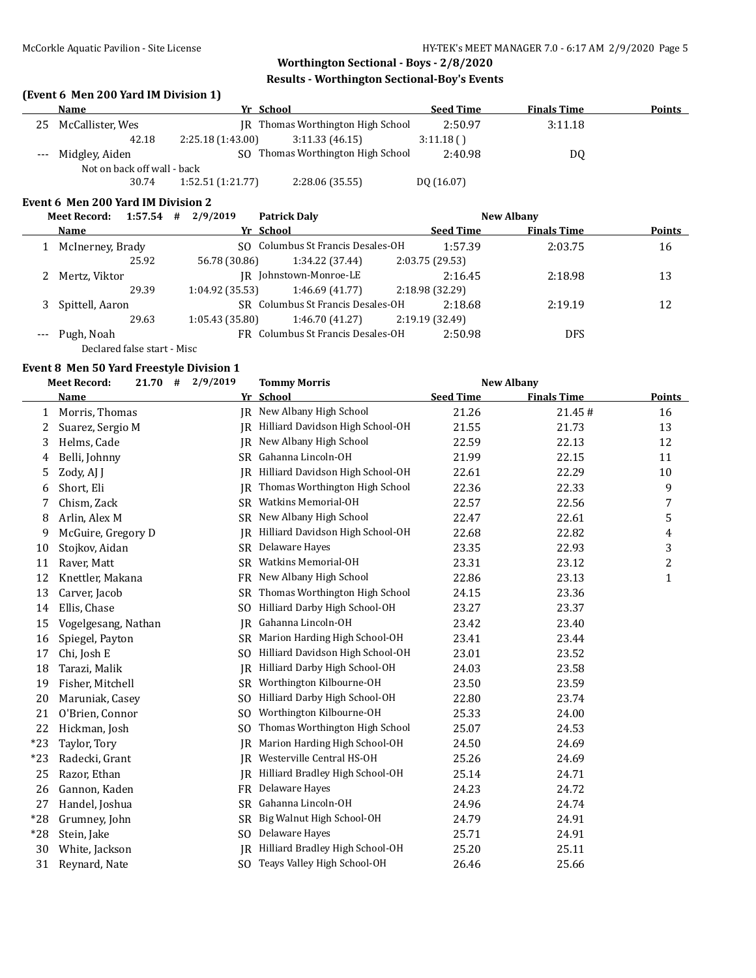## **(Event 6 Men 200 Yard IM Division 1)**

|    | Name                        |                   | Yr School                         | <b>Seed Time</b> | <b>Finals Time</b> | <b>Points</b> |
|----|-----------------------------|-------------------|-----------------------------------|------------------|--------------------|---------------|
| 25 | McCallister, Wes            |                   | IR Thomas Worthington High School | 2:50.97          | 3:11.18            |               |
|    | 42.18                       | 2:25.18 (1:43.00) | 3:11.33(46.15)                    | 3:11.18()        |                    |               |
|    | --- Midgley, Aiden          |                   | SO Thomas Worthington High School | 2:40.98          | DQ                 |               |
|    | Not on back off wall - back |                   |                                   |                  |                    |               |
|    | 30.74                       | 1:52.51(1:21.77)  | 2:28.06 (35.55)                   | DQ (16.07)       |                    |               |

#### **Event 6 Men 200 Yard IM Division 2**

|                     | 1:57.54<br><b>Meet Record:</b> | 2/9/2019<br>#  | <b>Patrick Daly</b>               |                  | New Albany         |        |
|---------------------|--------------------------------|----------------|-----------------------------------|------------------|--------------------|--------|
|                     | Name                           |                | Yr School                         | <b>Seed Time</b> | <b>Finals Time</b> | Points |
|                     | McInerney, Brady               |                | SO Columbus St Francis Desales-OH | 1:57.39          | 2:03.75            | 16     |
|                     | 25.92                          | 56.78 (30.86)  | 1:34.22 (37.44)                   | 2:03.75 (29.53)  |                    |        |
|                     | Mertz, Viktor                  |                | IR Johnstown-Monroe-LE            | 2:16.45          | 2:18.98            | 13     |
|                     | 29.39                          | 1:04.92(35.53) | 1:46.69(41.77)                    | 2:18.98 (32.29)  |                    |        |
|                     | Spittell, Aaron                |                | SR Columbus St Francis Desales-OH | 2:18.68          | 2:19.19            | 12     |
|                     | 29.63                          | 1:05.43(35.80) | 1:46.70(41.27)                    | 2:19.19 (32.49)  |                    |        |
| $\qquad \qquad - -$ | Pugh, Noah                     |                | FR Columbus St Francis Desales-OH | 2:50.98          | <b>DFS</b>         |        |
|                     | Declared false start - Misc    |                |                                   |                  |                    |        |

#### **Event 8 Men 50 Yard Freestyle Division 1**

|       | <b>Meet Record:</b><br>21.70 | 2/9/2019<br>#  | <b>Tommy Morris</b>              |                  | <b>New Albany</b>  |               |
|-------|------------------------------|----------------|----------------------------------|------------------|--------------------|---------------|
|       | <b>Name</b>                  |                | Yr School                        | <b>Seed Time</b> | <b>Finals Time</b> | <b>Points</b> |
| 1     | Morris, Thomas               |                | JR New Albany High School        | 21.26            | 21.45#             | 16            |
| 2     | Suarez, Sergio M             | IR             | Hilliard Davidson High School-OH | 21.55            | 21.73              | 13            |
| 3     | Helms, Cade                  | IR             | New Albany High School           | 22.59            | 22.13              | 12            |
| 4     | Belli, Johnny                | <b>SR</b>      | Gahanna Lincoln-OH               | 21.99            | 22.15              | 11            |
| 5     | Zody, AJ J                   | IR             | Hilliard Davidson High School-OH | 22.61            | 22.29              | 10            |
| 6     | Short, Eli                   | IR.            | Thomas Worthington High School   | 22.36            | 22.33              | 9             |
| 7     | Chism, Zack                  |                | SR Watkins Memorial-OH           | 22.57            | 22.56              | 7             |
| 8     | Arlin, Alex M                | SR             | New Albany High School           | 22.47            | 22.61              | 5             |
| 9     | McGuire, Gregory D           | IR             | Hilliard Davidson High School-OH | 22.68            | 22.82              | 4             |
| 10    | Stojkov, Aidan               | SR             | Delaware Hayes                   | 23.35            | 22.93              | 3             |
| 11    | Raver, Matt                  | SR             | Watkins Memorial-OH              | 23.31            | 23.12              | 2             |
| 12    | Knettler, Makana             | <b>FR</b>      | New Albany High School           | 22.86            | 23.13              | 1             |
| 13    | Carver, Jacob                | <b>SR</b>      | Thomas Worthington High School   | 24.15            | 23.36              |               |
| 14    | Ellis, Chase                 | S <sub>O</sub> | Hilliard Darby High School-OH    | 23.27            | 23.37              |               |
| 15    | Vogelgesang, Nathan          | <b>IR</b>      | Gahanna Lincoln-OH               | 23.42            | 23.40              |               |
| 16    | Spiegel, Payton              | <b>SR</b>      | Marion Harding High School-OH    | 23.41            | 23.44              |               |
| 17    | Chi, Josh E                  | SO.            | Hilliard Davidson High School-OH | 23.01            | 23.52              |               |
| 18    | Tarazi, Malik                | IR             | Hilliard Darby High School-OH    | 24.03            | 23.58              |               |
| 19    | Fisher, Mitchell             | <b>SR</b>      | Worthington Kilbourne-OH         | 23.50            | 23.59              |               |
| 20    | Maruniak, Casey              | SO.            | Hilliard Darby High School-OH    | 22.80            | 23.74              |               |
| 21    | O'Brien, Connor              | S <sub>O</sub> | Worthington Kilbourne-OH         | 25.33            | 24.00              |               |
| 22    | Hickman, Josh                | S <sub>O</sub> | Thomas Worthington High School   | 25.07            | 24.53              |               |
| $*23$ | Taylor, Tory                 | <b>IR</b>      | Marion Harding High School-OH    | 24.50            | 24.69              |               |
| $*23$ | Radecki, Grant               | IR             | Westerville Central HS-OH        | 25.26            | 24.69              |               |
| 25    | Razor, Ethan                 | IR.            | Hilliard Bradley High School-OH  | 25.14            | 24.71              |               |
| 26    | Gannon, Kaden                | FR             | Delaware Hayes                   | 24.23            | 24.72              |               |
| 27    | Handel, Joshua               | <b>SR</b>      | Gahanna Lincoln-OH               | 24.96            | 24.74              |               |
| $*28$ | Grumney, John                | SR             | Big Walnut High School-OH        | 24.79            | 24.91              |               |
| $*28$ | Stein, Jake                  | SO.            | Delaware Hayes                   | 25.71            | 24.91              |               |
| 30    | White, Jackson               | <b>IR</b>      | Hilliard Bradley High School-OH  | 25.20            | 25.11              |               |
| 31    | Reynard, Nate                |                | SO Teays Valley High School-OH   | 26.46            | 25.66              |               |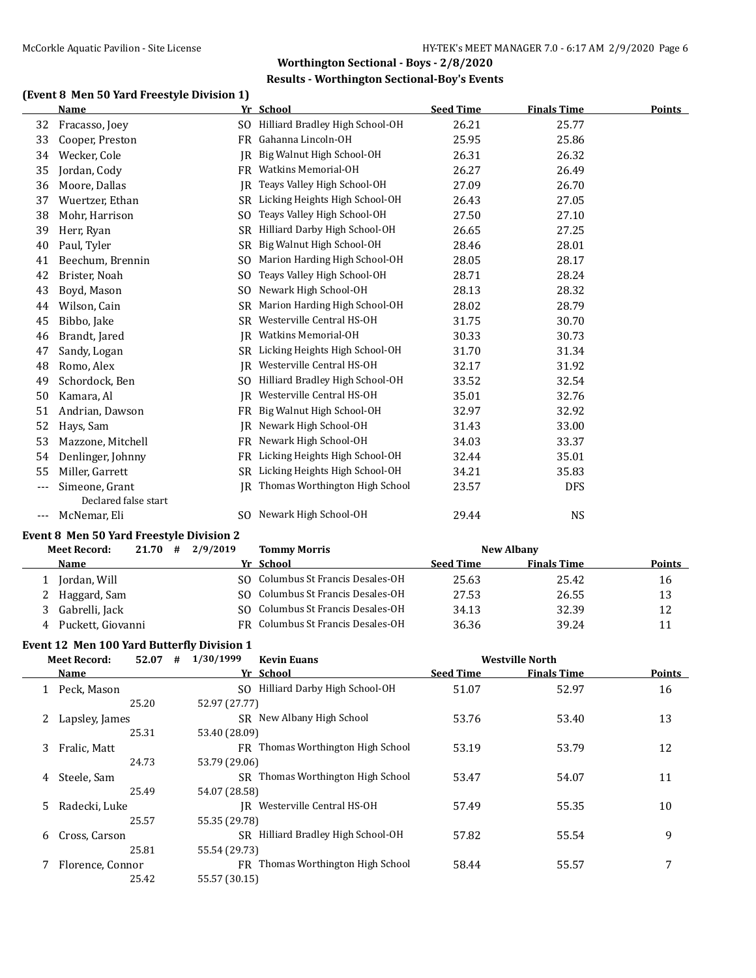## **(Event 8 Men 50 Yard Freestyle Division 1)**

|     | Name                 |                | Yr School                       | <b>Seed Time</b> | <b>Finals Time</b> | <b>Points</b> |
|-----|----------------------|----------------|---------------------------------|------------------|--------------------|---------------|
| 32  | Fracasso, Joey       | SO.            | Hilliard Bradley High School-OH | 26.21            | 25.77              |               |
| 33  | Cooper, Preston      | <b>FR</b>      | Gahanna Lincoln-OH              | 25.95            | 25.86              |               |
| 34  | Wecker, Cole         | IR             | Big Walnut High School-OH       | 26.31            | 26.32              |               |
| 35  | Jordan, Cody         | <b>FR</b>      | Watkins Memorial-OH             | 26.27            | 26.49              |               |
| 36  | Moore, Dallas        | <b>IR</b>      | Teays Valley High School-OH     | 27.09            | 26.70              |               |
| 37  | Wuertzer, Ethan      | SR.            | Licking Heights High School-OH  | 26.43            | 27.05              |               |
| 38  | Mohr, Harrison       | S <sub>O</sub> | Teays Valley High School-OH     | 27.50            | 27.10              |               |
| 39  | Herr, Ryan           | <b>SR</b>      | Hilliard Darby High School-OH   | 26.65            | 27.25              |               |
| 40  | Paul, Tyler          | <b>SR</b>      | Big Walnut High School-OH       | 28.46            | 28.01              |               |
| 41  | Beechum, Brennin     | S <sub>0</sub> | Marion Harding High School-OH   | 28.05            | 28.17              |               |
| 42  | Brister, Noah        | SO.            | Teays Valley High School-OH     | 28.71            | 28.24              |               |
| 43  | Boyd, Mason          | S <sub>0</sub> | Newark High School-OH           | 28.13            | 28.32              |               |
| 44  | Wilson, Cain         | <b>SR</b>      | Marion Harding High School-OH   | 28.02            | 28.79              |               |
| 45  | Bibbo, Jake          | SR.            | Westerville Central HS-OH       | 31.75            | 30.70              |               |
| 46  | Brandt, Jared        | IR             | Watkins Memorial-OH             | 30.33            | 30.73              |               |
| 47  | Sandy, Logan         | <b>SR</b>      | Licking Heights High School-OH  | 31.70            | 31.34              |               |
| 48  | Romo, Alex           | IR             | Westerville Central HS-OH       | 32.17            | 31.92              |               |
| 49  | Schordock, Ben       | SO.            | Hilliard Bradley High School-OH | 33.52            | 32.54              |               |
| 50  | Kamara, Al           | IR             | Westerville Central HS-OH       | 35.01            | 32.76              |               |
| 51  | Andrian, Dawson      | FR             | Big Walnut High School-OH       | 32.97            | 32.92              |               |
| 52  | Hays, Sam            | IR.            | Newark High School-OH           | 31.43            | 33.00              |               |
| 53  | Mazzone, Mitchell    | <b>FR</b>      | Newark High School-OH           | 34.03            | 33.37              |               |
| 54  | Denlinger, Johnny    | FR             | Licking Heights High School-OH  | 32.44            | 35.01              |               |
| 55  | Miller, Garrett      | <b>SR</b>      | Licking Heights High School-OH  | 34.21            | 35.83              |               |
|     | Simeone, Grant       | IR             | Thomas Worthington High School  | 23.57            | <b>DFS</b>         |               |
|     | Declared false start |                |                                 |                  |                    |               |
| --- | McNemar, Eli         |                | SO Newark High School-OH        | 29.44            | <b>NS</b>          |               |

#### **Event 8 Men 50 Yard Freestyle Division 2**

|   | <b>Meet Record:</b> | 21.70 | # | 2/9/2019 | <b>Tommy Morris</b>               |                  | <b>New Albany</b>  |               |
|---|---------------------|-------|---|----------|-----------------------------------|------------------|--------------------|---------------|
|   | Name                |       |   |          | Yr School                         | <b>Seed Time</b> | <b>Finals Time</b> | <b>Points</b> |
|   | Jordan, Will        |       |   |          | SO Columbus St Francis Desales-OH | 25.63            | 25.42              | 16            |
|   | Haggard, Sam        |       |   |          | SO Columbus St Francis Desales-OH | 27.53            | 26.55              | 13            |
| 3 | Gabrelli, Jack      |       |   |          | SO Columbus St Francis Desales-OH | 34.13            | 32.39              | 12            |
| 4 | Puckett, Giovanni   |       |   |          | FR Columbus St Francis Desales-OH | 36.36            | 39.24              |               |

### **Event 12 Men 100 Yard Butterfly Division 1**

|    | <b>Meet Record:</b> | 52.07 | # | 1/30/1999     | <b>Kevin Euans</b>                       | <b>Westville North</b> |                    |               |
|----|---------------------|-------|---|---------------|------------------------------------------|------------------------|--------------------|---------------|
|    | <b>Name</b>         |       |   |               | Yr School                                | <b>Seed Time</b>       | <b>Finals Time</b> | <b>Points</b> |
|    | 1 Peck. Mason       |       |   |               | SO Hilliard Darby High School-OH         | 51.07                  | 52.97              | 16            |
|    |                     | 25.20 |   | 52.97 (27.77) |                                          |                        |                    |               |
|    | 2 Lapsley, James    |       |   |               | SR New Albany High School                | 53.76                  | 53.40              | 13            |
|    |                     | 25.31 |   | 53.40 (28.09) |                                          |                        |                    |               |
|    | 3 Fralic, Matt      |       |   |               | FR Thomas Worthington High School        | 53.19                  | 53.79              | 12            |
|    |                     | 24.73 |   | 53.79 (29.06) |                                          |                        |                    |               |
| 4  | Steele, Sam         |       |   |               | <b>SR</b> Thomas Worthington High School | 53.47                  | 54.07              | 11            |
|    |                     | 25.49 |   | 54.07 (28.58) |                                          |                        |                    |               |
| 5. | Radecki, Luke       |       |   |               | IR Westerville Central HS-OH             | 57.49                  | 55.35              | 10            |
|    |                     | 25.57 |   | 55.35 (29.78) |                                          |                        |                    |               |
| 6  | Cross, Carson       |       |   |               | SR Hilliard Bradley High School-OH       | 57.82                  | 55.54              | 9             |
|    |                     | 25.81 |   | 55.54 (29.73) |                                          |                        |                    |               |
|    | Florence, Connor    |       |   |               | FR Thomas Worthington High School        | 58.44                  | 55.57              | 7             |
|    |                     | 25.42 |   | 55.57 (30.15) |                                          |                        |                    |               |
|    |                     |       |   |               |                                          |                        |                    |               |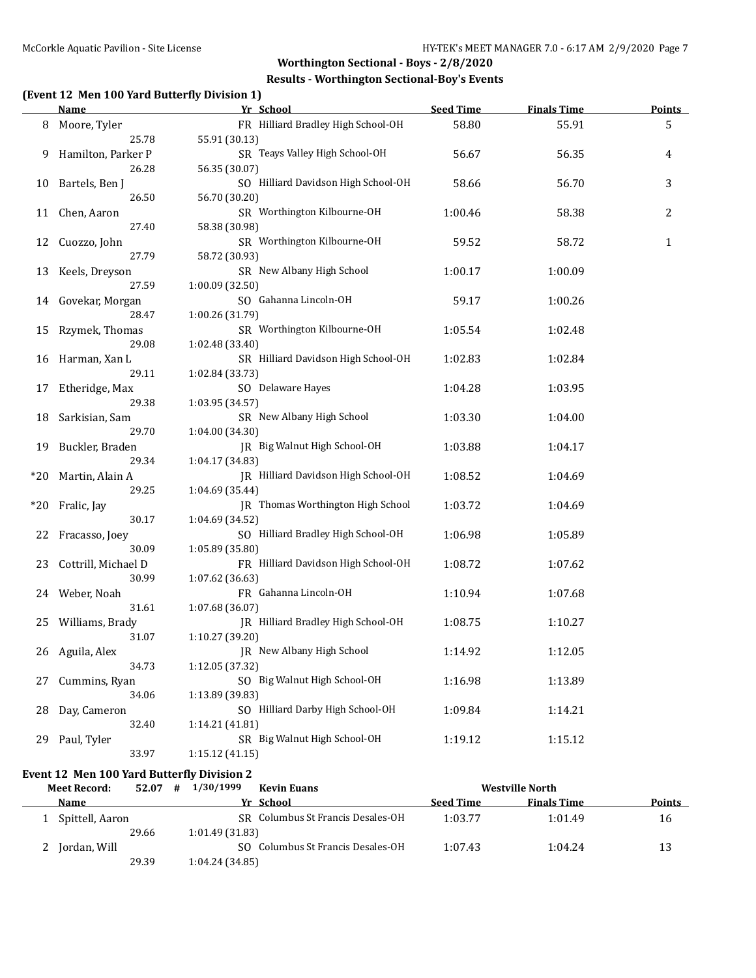### **Results - Worthington Sectional-Boy's Events**

# **(Event 12 Men 100 Yard Butterfly Division 1)**

|       | <b>Name</b>         | Yr School                           | <b>Seed Time</b> | <b>Finals Time</b> | <b>Points</b> |
|-------|---------------------|-------------------------------------|------------------|--------------------|---------------|
| 8     | Moore, Tyler        | FR Hilliard Bradley High School-OH  | 58.80            | 55.91              | 5             |
|       | 25.78               | 55.91 (30.13)                       |                  |                    |               |
| 9     | Hamilton, Parker P  | SR Teays Valley High School-OH      | 56.67            | 56.35              | 4             |
|       | 26.28               | 56.35 (30.07)                       |                  |                    |               |
| 10    | Bartels, Ben J      | SO Hilliard Davidson High School-OH | 58.66            | 56.70              | 3             |
|       | 26.50               | 56.70 (30.20)                       |                  |                    |               |
|       | 11 Chen, Aaron      | SR Worthington Kilbourne-OH         | 1:00.46          | 58.38              | 2             |
|       | 27.40               | 58.38 (30.98)                       |                  |                    |               |
| 12    | Cuozzo, John        | SR Worthington Kilbourne-OH         | 59.52            | 58.72              | $\mathbf{1}$  |
|       | 27.79               | 58.72 (30.93)                       |                  |                    |               |
| 13    | Keels, Dreyson      | SR New Albany High School           | 1:00.17          | 1:00.09            |               |
|       | 27.59               | 1:00.09 (32.50)                     |                  |                    |               |
|       | 14 Govekar, Morgan  | SO Gahanna Lincoln-OH               | 59.17            | 1:00.26            |               |
|       | 28.47               | 1:00.26 (31.79)                     |                  |                    |               |
| 15    | Rzymek, Thomas      | SR Worthington Kilbourne-OH         | 1:05.54          | 1:02.48            |               |
|       | 29.08               | 1:02.48 (33.40)                     |                  |                    |               |
| 16    | Harman, Xan L       | SR Hilliard Davidson High School-OH | 1:02.83          | 1:02.84            |               |
|       | 29.11               | 1:02.84 (33.73)                     |                  |                    |               |
| 17    | Etheridge, Max      | SO Delaware Hayes                   | 1:04.28          | 1:03.95            |               |
|       | 29.38               | 1:03.95 (34.57)                     |                  |                    |               |
| 18    | Sarkisian, Sam      | SR New Albany High School           | 1:03.30          | 1:04.00            |               |
|       | 29.70               | 1:04.00 (34.30)                     |                  |                    |               |
| 19    | Buckler, Braden     | JR Big Walnut High School-OH        | 1:03.88          | 1:04.17            |               |
|       | 29.34               | 1:04.17 (34.83)                     |                  |                    |               |
| $*20$ | Martin, Alain A     | JR Hilliard Davidson High School-OH | 1:08.52          | 1:04.69            |               |
|       | 29.25               | 1:04.69 (35.44)                     |                  |                    |               |
| $*20$ | Fralic, Jay         | JR Thomas Worthington High School   | 1:03.72          | 1:04.69            |               |
|       | 30.17               | 1:04.69 (34.52)                     |                  |                    |               |
| 22    | Fracasso, Joey      | SO Hilliard Bradley High School-OH  | 1:06.98          | 1:05.89            |               |
|       | 30.09               | 1:05.89 (35.80)                     |                  |                    |               |
| 23    | Cottrill, Michael D | FR Hilliard Davidson High School-OH | 1:08.72          | 1:07.62            |               |
|       | 30.99               | 1:07.62 (36.63)                     |                  |                    |               |
|       | 24 Weber, Noah      | FR Gahanna Lincoln-OH               | 1:10.94          | 1:07.68            |               |
|       | 31.61               | 1:07.68 (36.07)                     |                  |                    |               |
| 25    | Williams, Brady     | JR Hilliard Bradley High School-OH  | 1:08.75          | 1:10.27            |               |
|       | 31.07               | 1:10.27 (39.20)                     |                  |                    |               |
|       | 26 Aguila, Alex     | JR New Albany High School           | 1:14.92          | 1:12.05            |               |
|       | 34.73               | 1:12.05 (37.32)                     |                  |                    |               |
| 27    | Cummins, Ryan       | SO Big Walnut High School-OH        | 1:16.98          | 1:13.89            |               |
|       | 34.06               | 1:13.89 (39.83)                     |                  |                    |               |
| 28    | Day, Cameron        | SO Hilliard Darby High School-OH    | 1:09.84          | 1:14.21            |               |
|       | 32.40               | 1:14.21 (41.81)                     |                  |                    |               |
| 29    | Paul, Tyler         | SR Big Walnut High School-OH        | 1:19.12          | 1:15.12            |               |
|       | 33.97               | 1:15.12 (41.15)                     |                  |                    |               |

## **Event 12 Men 100 Yard Butterfly Division 2**

| <b>Meet Record:</b> | 52.07 | 1/30/1999<br>#  | <b>Kevin Euans</b>                |                  | <b>Westville North</b> |               |
|---------------------|-------|-----------------|-----------------------------------|------------------|------------------------|---------------|
| Name                |       |                 | Yr School                         | <b>Seed Time</b> | <b>Finals Time</b>     | <b>Points</b> |
| Spittell, Aaron     |       |                 | SR Columbus St Francis Desales-OH | 1:03.77          | 1:01.49                | 16            |
|                     | 29.66 | 1:01.49 (31.83) |                                   |                  |                        |               |
| Jordan, Will        |       |                 | SO Columbus St Francis Desales-OH | 1:07.43          | 1:04.24                | 13            |
|                     | 29.39 | 1:04.24(34.85)  |                                   |                  |                        |               |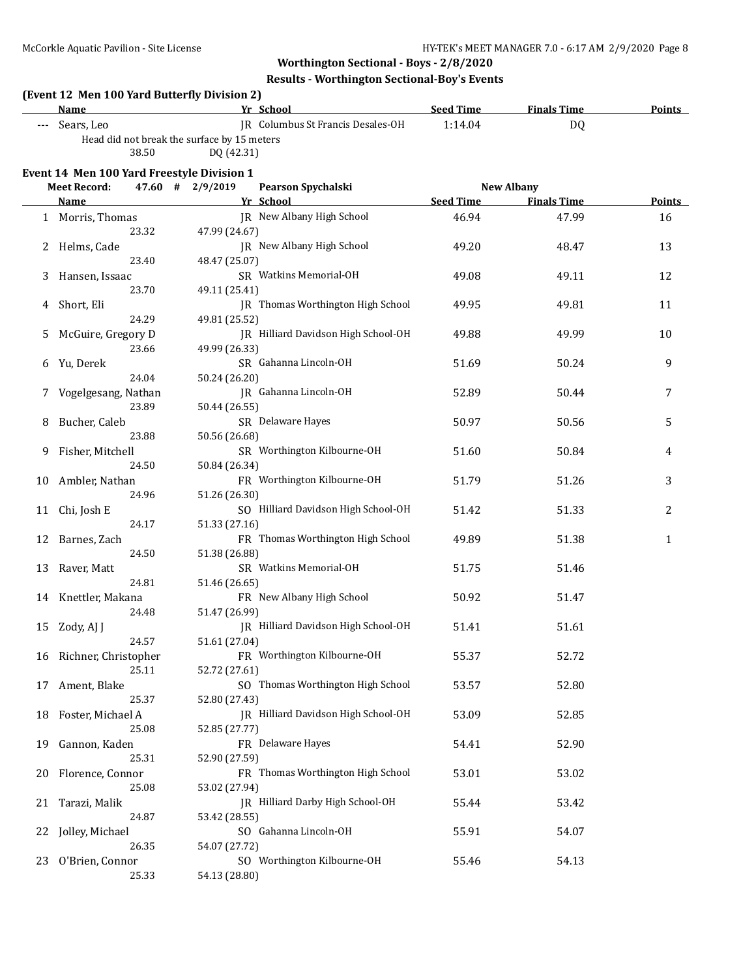# **Results - Worthington Sectional-Boy's Events**

|  | (Event 12 Men 100 Yard Butterfly Division 2) |  |
|--|----------------------------------------------|--|
|--|----------------------------------------------|--|

| Name                                               |                                             | Yr School                         | <b>Seed Time</b> | <b>Finals Time</b>    | <b>Points</b> |  |  |  |
|----------------------------------------------------|---------------------------------------------|-----------------------------------|------------------|-----------------------|---------------|--|--|--|
| Sears, Leo<br>$\qquad \qquad -$                    |                                             | IR Columbus St Francis Desales-OH | 1:14.04          | DO                    |               |  |  |  |
|                                                    | Head did not break the surface by 15 meters |                                   |                  |                       |               |  |  |  |
| 38.50                                              | DO (42.31)                                  |                                   |                  |                       |               |  |  |  |
| Event 14 Men 100 Yard Freestyle Division 1         |                                             |                                   |                  |                       |               |  |  |  |
| $M_{\odot}$ the property $\sim 47.60 \pm 2.007010$ |                                             | Dennes Constability               |                  | $N = 1$ $\frac{1}{2}$ |               |  |  |  |

|    | <b>Meet Record:</b>  |       | 47.60 # 2/9/2019 | Pearson Spychalski                  | <b>New Albany</b> |                    |        |
|----|----------------------|-------|------------------|-------------------------------------|-------------------|--------------------|--------|
|    | Name                 |       |                  | Yr School                           | <b>Seed Time</b>  | <b>Finals Time</b> | Points |
|    | 1 Morris, Thomas     |       |                  | JR New Albany High School           | 46.94             | 47.99              | 16     |
|    |                      | 23.32 | 47.99 (24.67)    |                                     |                   |                    |        |
| 2  | Helms, Cade          |       |                  | JR New Albany High School           | 49.20             | 48.47              | 13     |
|    |                      | 23.40 | 48.47 (25.07)    |                                     |                   |                    |        |
| 3  | Hansen, Issaac       |       |                  | SR Watkins Memorial-OH              | 49.08             | 49.11              | 12     |
|    |                      | 23.70 | 49.11 (25.41)    |                                     |                   |                    |        |
|    |                      |       |                  | JR Thomas Worthington High School   | 49.95             | 49.81              | 11     |
| 4  | Short, Eli           | 24.29 |                  |                                     |                   |                    |        |
|    |                      |       | 49.81 (25.52)    |                                     |                   |                    |        |
| 5  | McGuire, Gregory D   |       |                  | JR Hilliard Davidson High School-OH | 49.88             | 49.99              | 10     |
|    |                      | 23.66 | 49.99 (26.33)    |                                     |                   |                    |        |
| 6  | Yu, Derek            |       |                  | SR Gahanna Lincoln-OH               | 51.69             | 50.24              | 9      |
|    |                      | 24.04 | 50.24 (26.20)    |                                     |                   |                    |        |
|    | Vogelgesang, Nathan  |       |                  | JR Gahanna Lincoln-OH               | 52.89             | 50.44              | 7      |
|    |                      | 23.89 | 50.44 (26.55)    |                                     |                   |                    |        |
| 8  | Bucher, Caleb        |       |                  | SR Delaware Hayes                   | 50.97             | 50.56              | 5      |
|    |                      | 23.88 | 50.56 (26.68)    |                                     |                   |                    |        |
| 9  | Fisher, Mitchell     |       |                  | SR Worthington Kilbourne-OH         | 51.60             | 50.84              | 4      |
|    |                      | 24.50 | 50.84 (26.34)    |                                     |                   |                    |        |
| 10 | Ambler, Nathan       |       |                  | FR Worthington Kilbourne-OH         | 51.79             | 51.26              | 3      |
|    |                      | 24.96 | 51.26 (26.30)    |                                     |                   |                    |        |
| 11 | Chi, Josh E          |       |                  | SO Hilliard Davidson High School-OH | 51.42             | 51.33              | 2      |
|    |                      | 24.17 | 51.33 (27.16)    |                                     |                   |                    |        |
|    |                      |       |                  | FR Thomas Worthington High School   |                   |                    |        |
| 12 | Barnes, Zach         |       |                  |                                     | 49.89             | 51.38              | 1      |
|    |                      | 24.50 | 51.38 (26.88)    |                                     |                   |                    |        |
| 13 | Raver, Matt          |       |                  | SR Watkins Memorial-OH              | 51.75             | 51.46              |        |
|    |                      | 24.81 | 51.46 (26.65)    |                                     |                   |                    |        |
|    | 14 Knettler, Makana  |       |                  | FR New Albany High School           | 50.92             | 51.47              |        |
|    |                      | 24.48 | 51.47 (26.99)    |                                     |                   |                    |        |
| 15 | Zody, AJ J           |       |                  | JR Hilliard Davidson High School-OH | 51.41             | 51.61              |        |
|    |                      | 24.57 | 51.61 (27.04)    |                                     |                   |                    |        |
| 16 | Richner, Christopher |       |                  | FR Worthington Kilbourne-OH         | 55.37             | 52.72              |        |
|    |                      | 25.11 | 52.72 (27.61)    |                                     |                   |                    |        |
| 17 | Ament, Blake         |       |                  | SO Thomas Worthington High School   | 53.57             | 52.80              |        |
|    |                      | 25.37 | 52.80 (27.43)    |                                     |                   |                    |        |
| 18 | Foster, Michael A    |       |                  | JR Hilliard Davidson High School-OH | 53.09             | 52.85              |        |
|    |                      | 25.08 | 52.85 (27.77)    |                                     |                   |                    |        |
|    | 19 Gannon, Kaden     |       |                  | FR Delaware Hayes                   | 54.41             | 52.90              |        |
|    |                      | 25.31 | 52.90 (27.59)    |                                     |                   |                    |        |
| 20 | Florence, Connor     |       |                  | FR Thomas Worthington High School   | 53.01             | 53.02              |        |
|    |                      | 25.08 | 53.02 (27.94)    |                                     |                   |                    |        |
|    |                      |       |                  | JR Hilliard Darby High School-OH    |                   |                    |        |
| 21 | Tarazi, Malik        |       |                  |                                     | 55.44             | 53.42              |        |
|    |                      | 24.87 | 53.42 (28.55)    |                                     |                   |                    |        |
| 22 | Jolley, Michael      |       |                  | SO Gahanna Lincoln-OH               | 55.91             | 54.07              |        |
|    |                      | 26.35 | 54.07 (27.72)    |                                     |                   |                    |        |
| 23 | O'Brien, Connor      |       |                  | SO Worthington Kilbourne-OH         | 55.46             | 54.13              |        |
|    |                      | 25.33 | 54.13 (28.80)    |                                     |                   |                    |        |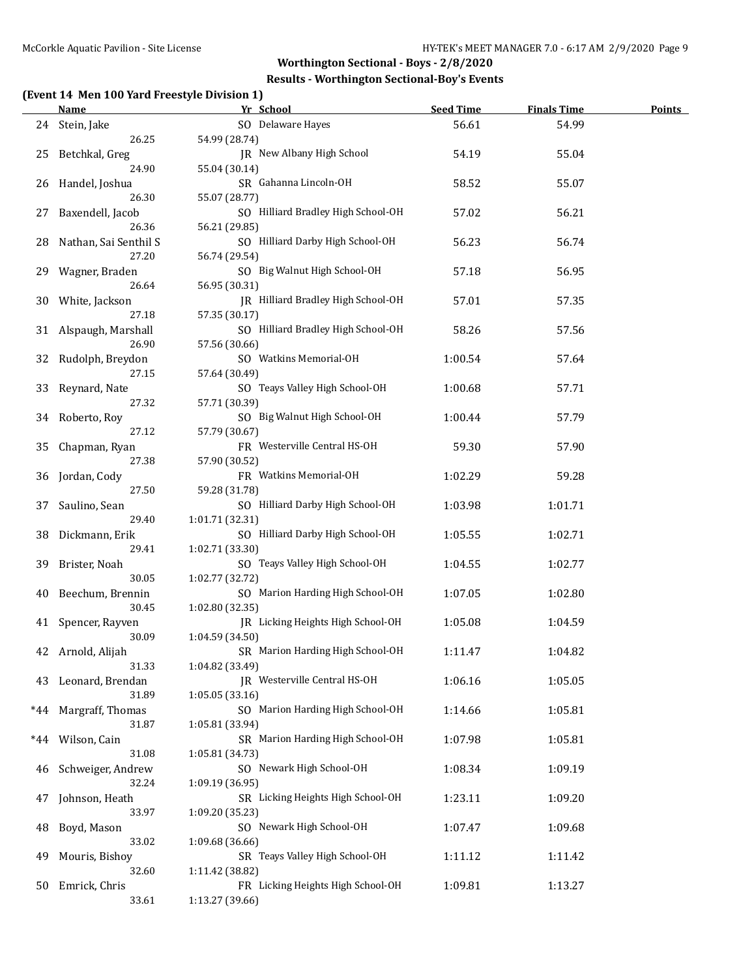## **Results - Worthington Sectional-Boy's Events**

# **(Event 14 Men 100 Yard Freestyle Division 1)**

|     | Name                  | Yr School                          | <b>Seed Time</b> | <b>Finals Time</b> | <b>Points</b> |
|-----|-----------------------|------------------------------------|------------------|--------------------|---------------|
|     | 24 Stein, Jake        | SO Delaware Hayes                  | 56.61            | 54.99              |               |
|     | 26.25                 | 54.99 (28.74)                      |                  |                    |               |
| 25  | Betchkal, Greg        | JR New Albany High School          | 54.19            | 55.04              |               |
|     | 24.90                 | 55.04 (30.14)                      |                  |                    |               |
| 26  | Handel, Joshua        | SR Gahanna Lincoln-OH              | 58.52            | 55.07              |               |
|     | 26.30                 | 55.07 (28.77)                      |                  |                    |               |
| 27  | Baxendell, Jacob      | SO Hilliard Bradley High School-OH | 57.02            | 56.21              |               |
|     | 26.36                 | 56.21 (29.85)                      |                  |                    |               |
| 28  | Nathan, Sai Senthil S | SO Hilliard Darby High School-OH   | 56.23            | 56.74              |               |
|     | 27.20                 | 56.74 (29.54)                      |                  |                    |               |
| 29  | Wagner, Braden        | SO Big Walnut High School-OH       | 57.18            | 56.95              |               |
|     | 26.64                 | 56.95 (30.31)                      |                  |                    |               |
| 30  | White, Jackson        | JR Hilliard Bradley High School-OH | 57.01            | 57.35              |               |
|     | 27.18                 | 57.35 (30.17)                      |                  |                    |               |
| 31  | Alspaugh, Marshall    | SO Hilliard Bradley High School-OH | 58.26            | 57.56              |               |
|     | 26.90                 | 57.56 (30.66)                      |                  |                    |               |
| 32  | Rudolph, Breydon      | SO Watkins Memorial-OH             | 1:00.54          | 57.64              |               |
|     | 27.15                 | 57.64 (30.49)                      |                  |                    |               |
| 33  | Reynard, Nate         | SO Teays Valley High School-OH     | 1:00.68          | 57.71              |               |
|     | 27.32                 | 57.71 (30.39)                      |                  |                    |               |
|     | 34 Roberto, Roy       | SO Big Walnut High School-OH       | 1:00.44          | 57.79              |               |
|     | 27.12                 | 57.79 (30.67)                      |                  |                    |               |
| 35  | Chapman, Ryan         | FR Westerville Central HS-OH       | 59.30            | 57.90              |               |
|     | 27.38                 | 57.90 (30.52)                      |                  |                    |               |
| 36  | Jordan, Cody          | FR Watkins Memorial-OH             | 1:02.29          | 59.28              |               |
|     | 27.50                 | 59.28 (31.78)                      |                  |                    |               |
| 37  | Saulino, Sean         | SO Hilliard Darby High School-OH   | 1:03.98          | 1:01.71            |               |
|     | 29.40                 | 1:01.71 (32.31)                    |                  |                    |               |
| 38  | Dickmann, Erik        | SO Hilliard Darby High School-OH   | 1:05.55          | 1:02.71            |               |
|     | 29.41                 | 1:02.71 (33.30)                    |                  |                    |               |
| 39  | Brister, Noah         | SO Teays Valley High School-OH     | 1:04.55          | 1:02.77            |               |
|     | 30.05                 | 1:02.77 (32.72)                    |                  |                    |               |
| 40  | Beechum, Brennin      | SO Marion Harding High School-OH   | 1:07.05          | 1:02.80            |               |
|     | 30.45                 | 1:02.80 (32.35)                    |                  |                    |               |
|     | 41 Spencer, Rayven    | JR Licking Heights High School-OH  | 1:05.08          | 1:04.59            |               |
|     | 30.09                 | 1:04.59 (34.50)                    |                  |                    |               |
|     | 42 Arnold, Alijah     | SR Marion Harding High School-OH   | 1:11.47          | 1:04.82            |               |
|     | 31.33                 | 1:04.82 (33.49)                    |                  |                    |               |
|     | 43 Leonard, Brendan   | JR Westerville Central HS-OH       | 1:06.16          | 1:05.05            |               |
|     | 31.89                 | 1:05.05(33.16)                     |                  |                    |               |
| *44 | Margraff, Thomas      | SO Marion Harding High School-OH   | 1:14.66          | 1:05.81            |               |
|     | 31.87                 | 1:05.81 (33.94)                    |                  |                    |               |
| *44 | Wilson, Cain          | SR Marion Harding High School-OH   | 1:07.98          | 1:05.81            |               |
|     | 31.08                 | 1:05.81 (34.73)                    |                  |                    |               |
| 46  | Schweiger, Andrew     | SO Newark High School-OH           | 1:08.34          | 1:09.19            |               |
|     | 32.24                 | 1:09.19 (36.95)                    |                  |                    |               |
| 47  | Johnson, Heath        | SR Licking Heights High School-OH  | 1:23.11          | 1:09.20            |               |
|     | 33.97                 | 1:09.20 (35.23)                    |                  |                    |               |
| 48  | Boyd, Mason           | SO Newark High School-OH           | 1:07.47          | 1:09.68            |               |
|     | 33.02                 | 1:09.68 (36.66)                    |                  |                    |               |
| 49  | Mouris, Bishoy        | SR Teays Valley High School-OH     | 1:11.12          | 1:11.42            |               |
|     | 32.60                 | 1:11.42 (38.82)                    |                  |                    |               |
| 50  | Emrick, Chris         | FR Licking Heights High School-OH  | 1:09.81          | 1:13.27            |               |
|     | 33.61                 | 1:13.27 (39.66)                    |                  |                    |               |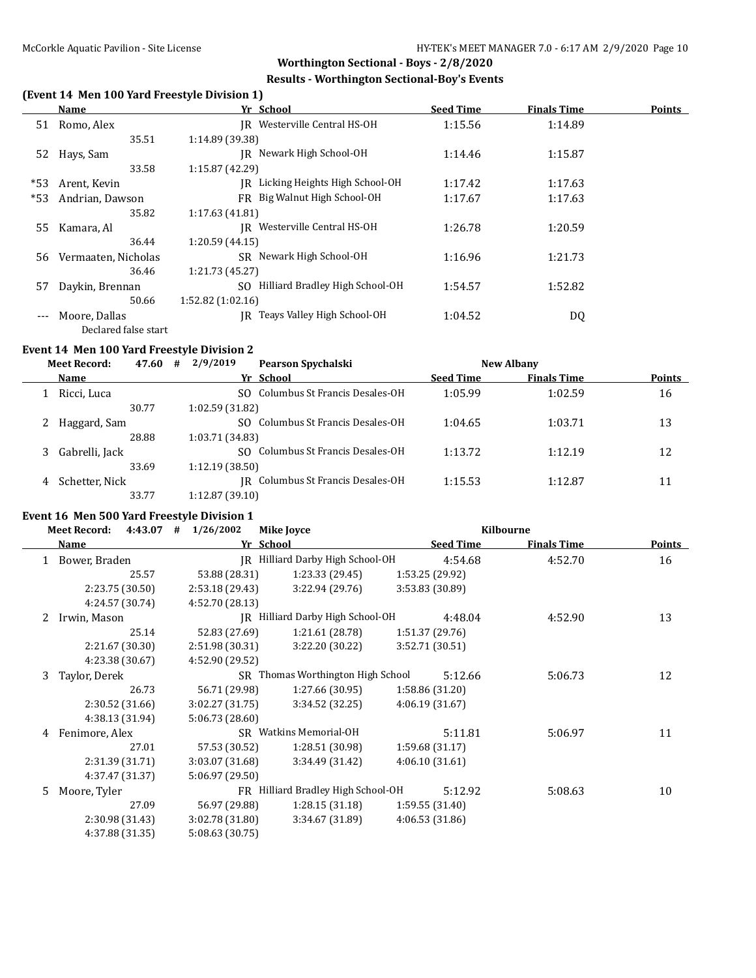### **Results - Worthington Sectional-Boy's Events**

# **(Event 14 Men 100 Yard Freestyle Division 1)**

|       | Name                 | Yr School                              | <b>Seed Time</b> | <b>Finals Time</b> | <b>Points</b> |
|-------|----------------------|----------------------------------------|------------------|--------------------|---------------|
| 51    | Romo, Alex           | IR Westerville Central HS-OH           | 1:15.56          | 1:14.89            |               |
|       | 35.51                | 1:14.89 (39.38)                        |                  |                    |               |
| 52    | Hays, Sam            | Newark High School-OH<br>IR            | 1:14.46          | 1:15.87            |               |
|       | 33.58                | 1:15.87(42.29)                         |                  |                    |               |
| *53   | Arent, Kevin         | Licking Heights High School-OH<br>IR   | 1:17.42          | 1:17.63            |               |
| $*53$ | Andrian, Dawson      | FR Big Walnut High School-OH           | 1:17.67          | 1:17.63            |               |
|       | 35.82                | 1:17.63(41.81)                         |                  |                    |               |
| 55    | Kamara, Al           | Westerville Central HS-OH<br>IR        | 1:26.78          | 1:20.59            |               |
|       | 36.44                | 1:20.59(44.15)                         |                  |                    |               |
| 56    | Vermaaten, Nicholas  | SR Newark High School-OH               | 1:16.96          | 1:21.73            |               |
|       | 36.46                | 1:21.73(45.27)                         |                  |                    |               |
| 57    | Daykin, Brennan      | Hilliard Bradley High School-OH<br>SO. | 1:54.57          | 1:52.82            |               |
|       | 50.66                | 1:52.82(1:02.16)                       |                  |                    |               |
| $---$ | Moore, Dallas        | Teays Valley High School-OH<br>IR-     | 1:04.52          | DQ                 |               |
|       | Declared false start |                                        |                  |                    |               |

#### **Event 14 Men 100 Yard Freestyle Division 2**

### **Meet Record: 47.60 # 2/9/2019 Pearson Spychalski New Albany Name Yr School Seed Time Finals Time Points** 1 Ricci, Luca SO Columbus St Francis Desales-OH 1:05.99 1:02.59 16 30.77 1:02.59 (31.82) 2 Haggard, Sam SO Columbus St Francis Desales-OH 1:04.65 1:03.71 13 28.88 1:03.71 (34.83)

| 28.88            | 1:03.71 (34.83)                   |         |         |  |
|------------------|-----------------------------------|---------|---------|--|
| 3 Gabrelli, Jack | SO Columbus St Francis Desales-OH | 1:13.72 | 1:12.19 |  |
| 33.69            | 1:12.19(38.50)                    |         |         |  |
| 4 Schetter, Nick | IR Columbus St Francis Desales-OH | 1:15.53 | 1:12.87 |  |
| 33.77            | 1:12.87(39.10)                    |         |         |  |

### **Event 16 Men 500 Yard Freestyle Division 1**

|    | <b>Meet Record:</b><br>4:43.07 | 1/26/2002<br>#  | Mike Joyce                         | Kilbourne        |                    |               |
|----|--------------------------------|-----------------|------------------------------------|------------------|--------------------|---------------|
|    | Name                           | Yr School       |                                    | <b>Seed Time</b> | <b>Finals Time</b> | <b>Points</b> |
|    | Bower, Braden                  |                 | JR Hilliard Darby High School-OH   | 4:54.68          | 4:52.70            | 16            |
|    | 25.57                          | 53.88 (28.31)   | 1:23.33(29.45)                     | 1:53.25 (29.92)  |                    |               |
|    | 2:23.75 (30.50)                | 2:53.18 (29.43) | 3:22.94 (29.76)                    | 3:53.83 (30.89)  |                    |               |
|    | 4:24.57 (30.74)                | 4:52.70 (28.13) |                                    |                  |                    |               |
| 2  | Irwin, Mason                   |                 | JR Hilliard Darby High School-OH   | 4:48.04          | 4:52.90            | 13            |
|    | 25.14                          | 52.83 (27.69)   | 1:21.61 (28.78)                    | 1:51.37 (29.76)  |                    |               |
|    | 2:21.67 (30.30)                | 2:51.98 (30.31) | 3:22.20 (30.22)                    | 3:52.71 (30.51)  |                    |               |
|    | 4:23.38 (30.67)                | 4:52.90 (29.52) |                                    |                  |                    |               |
| 3  | Taylor, Derek                  |                 | SR Thomas Worthington High School  | 5:12.66          | 5:06.73            | 12            |
|    | 26.73                          | 56.71 (29.98)   | 1:27.66(30.95)                     | 1:58.86 (31.20)  |                    |               |
|    | 2:30.52 (31.66)                | 3:02.27(31.75)  | 3:34.52(32.25)                     | 4:06.19 (31.67)  |                    |               |
|    | 4:38.13 (31.94)                | 5:06.73 (28.60) |                                    |                  |                    |               |
| 4  | Fenimore, Alex                 |                 | SR Watkins Memorial-OH             | 5:11.81          | 5:06.97            | 11            |
|    | 27.01                          | 57.53 (30.52)   | 1:28.51 (30.98)                    | 1:59.68 (31.17)  |                    |               |
|    | 2:31.39 (31.71)                | 3:03.07 (31.68) | 3:34.49 (31.42)                    | 4:06.10(31.61)   |                    |               |
|    | 4:37.47 (31.37)                | 5:06.97 (29.50) |                                    |                  |                    |               |
| 5. | Moore, Tyler                   |                 | FR Hilliard Bradley High School-OH | 5:12.92          | 5:08.63            | 10            |
|    | 27.09                          | 56.97 (29.88)   | 1:28.15(31.18)                     | 1:59.55 (31.40)  |                    |               |
|    | 2:30.98 (31.43)                | 3:02.78 (31.80) | 3:34.67 (31.89)                    | 4:06.53 (31.86)  |                    |               |
|    | 4:37.88 (31.35)                | 5:08.63 (30.75) |                                    |                  |                    |               |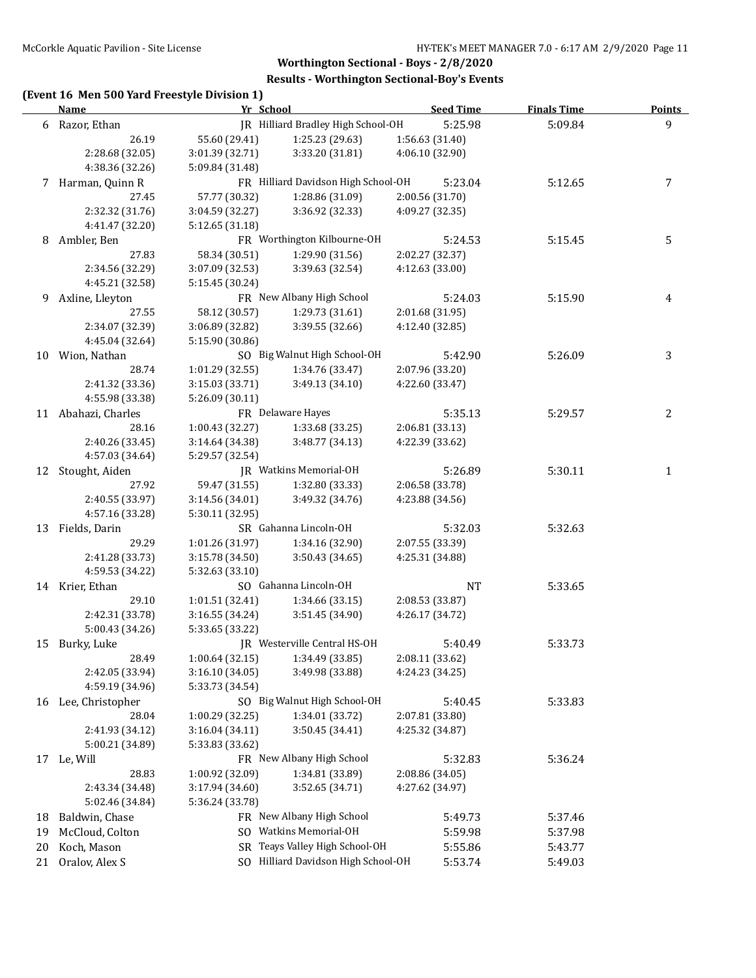## **Results - Worthington Sectional-Boy's Events**

# **(Event 16 Men 500 Yard Freestyle Division 1)**

|    | <b>Name</b>         | Yr School       |                                     | <b>Seed Time</b> | <b>Finals Time</b> | <b>Points</b> |
|----|---------------------|-----------------|-------------------------------------|------------------|--------------------|---------------|
|    | 6 Razor, Ethan      |                 | IR Hilliard Bradley High School-OH  | 5:25.98          | 5:09.84            | 9             |
|    | 26.19               | 55.60 (29.41)   | 1:25.23 (29.63)                     | 1:56.63 (31.40)  |                    |               |
|    | 2:28.68 (32.05)     | 3:01.39 (32.71) | 3:33.20 (31.81)                     | 4:06.10 (32.90)  |                    |               |
|    | 4:38.36 (32.26)     | 5:09.84 (31.48) |                                     |                  |                    |               |
|    | 7 Harman, Quinn R   |                 | FR Hilliard Davidson High School-OH | 5:23.04          | 5:12.65            | 7             |
|    | 27.45               | 57.77 (30.32)   | 1:28.86 (31.09)                     | 2:00.56 (31.70)  |                    |               |
|    | 2:32.32 (31.76)     | 3:04.59 (32.27) | 3:36.92 (32.33)                     | 4:09.27 (32.35)  |                    |               |
|    | 4:41.47 (32.20)     | 5:12.65 (31.18) |                                     |                  |                    |               |
| 8  | Ambler, Ben         |                 | FR Worthington Kilbourne-OH         | 5:24.53          | 5:15.45            | 5             |
|    | 27.83               | 58.34 (30.51)   | 1:29.90 (31.56)                     | 2:02.27 (32.37)  |                    |               |
|    | 2:34.56 (32.29)     | 3:07.09 (32.53) | 3:39.63 (32.54)                     | 4:12.63 (33.00)  |                    |               |
|    | 4:45.21 (32.58)     | 5:15.45 (30.24) |                                     |                  |                    |               |
| 9  | Axline, Lleyton     |                 | FR New Albany High School           | 5:24.03          | 5:15.90            | 4             |
|    | 27.55               | 58.12 (30.57)   | 1:29.73 (31.61)                     | 2:01.68 (31.95)  |                    |               |
|    | 2:34.07 (32.39)     | 3:06.89 (32.82) | 3:39.55 (32.66)                     | 4:12.40 (32.85)  |                    |               |
|    | 4:45.04 (32.64)     | 5:15.90 (30.86) |                                     |                  |                    |               |
|    | 10 Wion, Nathan     |                 | SO Big Walnut High School-OH        | 5:42.90          | 5:26.09            | 3             |
|    | 28.74               | 1:01.29 (32.55) | 1:34.76 (33.47)                     | 2:07.96 (33.20)  |                    |               |
|    | 2:41.32 (33.36)     | 3:15.03 (33.71) | 3:49.13 (34.10)                     | 4:22.60 (33.47)  |                    |               |
|    | 4:55.98 (33.38)     | 5:26.09(30.11)  |                                     |                  |                    |               |
|    | 11 Abahazi, Charles |                 | FR Delaware Hayes                   | 5:35.13          | 5:29.57            | 2             |
|    | 28.16               | 1:00.43(32.27)  | 1:33.68 (33.25)                     | 2:06.81 (33.13)  |                    |               |
|    | 2:40.26 (33.45)     | 3:14.64 (34.38) | 3:48.77 (34.13)                     | 4:22.39 (33.62)  |                    |               |
|    | 4:57.03 (34.64)     | 5:29.57 (32.54) |                                     |                  |                    |               |
|    | 12 Stought, Aiden   |                 | JR Watkins Memorial-OH              | 5:26.89          | 5:30.11            | 1             |
|    | 27.92               | 59.47 (31.55)   | 1:32.80 (33.33)                     | 2:06.58 (33.78)  |                    |               |
|    | 2:40.55 (33.97)     | 3:14.56 (34.01) | 3:49.32 (34.76)                     | 4:23.88 (34.56)  |                    |               |
|    | 4:57.16 (33.28)     | 5:30.11 (32.95) |                                     |                  |                    |               |
| 13 | Fields, Darin       |                 | SR Gahanna Lincoln-OH               | 5:32.03          | 5:32.63            |               |
|    | 29.29               | 1:01.26 (31.97) | 1:34.16 (32.90)                     | 2:07.55 (33.39)  |                    |               |
|    | 2:41.28 (33.73)     | 3:15.78 (34.50) | 3:50.43 (34.65)                     | 4:25.31 (34.88)  |                    |               |
|    | 4:59.53 (34.22)     | 5:32.63 (33.10) |                                     |                  |                    |               |
|    | 14 Krier, Ethan     |                 | SO Gahanna Lincoln-OH               | <b>NT</b>        | 5:33.65            |               |
|    | 29.10               | 1:01.51 (32.41) | 1:34.66 (33.15)                     | 2:08.53 (33.87)  |                    |               |
|    | 2:42.31 (33.78)     | 3:16.55 (34.24) | 3:51.45 (34.90)                     | 4:26.17 (34.72)  |                    |               |
|    | 5:00.43 (34.26)     | 5:33.65 (33.22) |                                     |                  |                    |               |
|    | 15 Burky, Luke      |                 | JR Westerville Central HS-OH        | 5:40.49          | 5:33.73            |               |
|    | 28.49               | 1:00.64(32.15)  | 1:34.49 (33.85)                     | 2:08.11 (33.62)  |                    |               |
|    | 2:42.05 (33.94)     | 3:16.10 (34.05) | 3:49.98 (33.88)                     | 4:24.23 (34.25)  |                    |               |
|    | 4:59.19 (34.96)     | 5:33.73 (34.54) |                                     |                  |                    |               |
|    | 16 Lee, Christopher |                 | SO Big Walnut High School-OH        | 5:40.45          | 5:33.83            |               |
|    | 28.04               | 1:00.29 (32.25) | 1:34.01 (33.72)                     | 2:07.81 (33.80)  |                    |               |
|    | 2:41.93 (34.12)     | 3:16.04 (34.11) | 3:50.45 (34.41)                     | 4:25.32 (34.87)  |                    |               |
|    | 5:00.21 (34.89)     | 5:33.83 (33.62) |                                     |                  |                    |               |
|    | 17 Le, Will         |                 | FR New Albany High School           | 5:32.83          | 5:36.24            |               |
|    | 28.83               | 1:00.92 (32.09) | 1:34.81 (33.89)                     | 2:08.86 (34.05)  |                    |               |
|    | 2:43.34 (34.48)     | 3:17.94 (34.60) | 3:52.65 (34.71)                     | 4:27.62 (34.97)  |                    |               |
|    | 5:02.46 (34.84)     | 5:36.24 (33.78) |                                     |                  |                    |               |
| 18 | Baldwin, Chase      |                 | FR New Albany High School           | 5:49.73          | 5:37.46            |               |
| 19 | McCloud, Colton     | SO.             | Watkins Memorial-OH                 | 5:59.98          | 5:37.98            |               |
| 20 | Koch, Mason         |                 | SR Teays Valley High School-OH      | 5:55.86          | 5:43.77            |               |
| 21 | Oralov, Alex S      |                 | SO Hilliard Davidson High School-OH | 5:53.74          | 5:49.03            |               |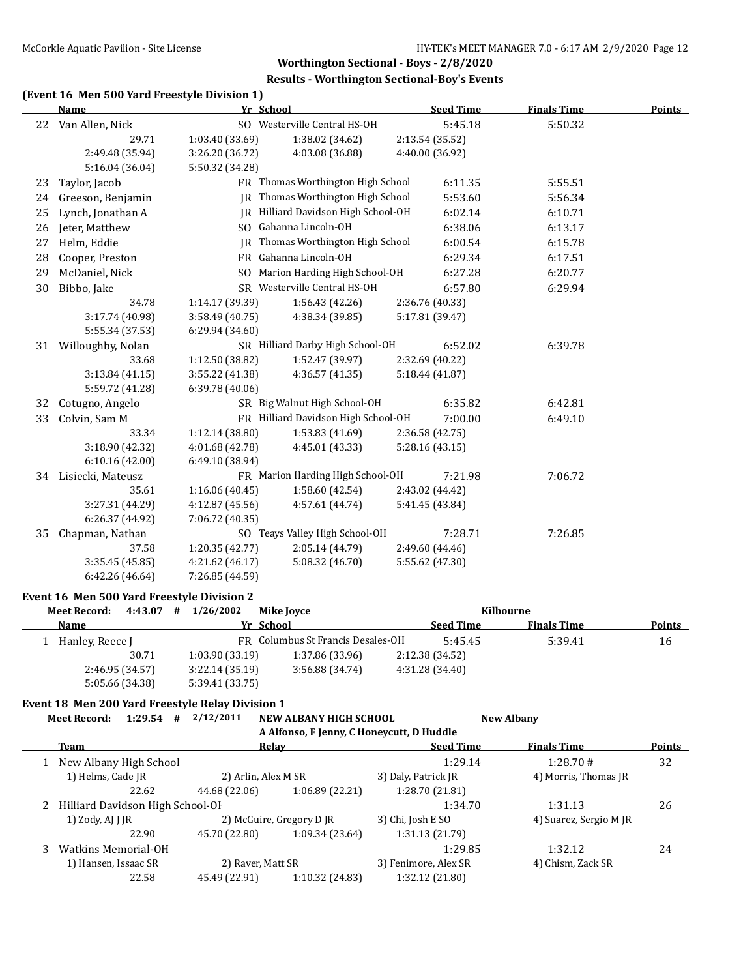### **Results - Worthington Sectional-Boy's Events**

# **(Event 16 Men 500 Yard Freestyle Division 1)**

|    | <b>Name</b>        | Yr School       |                                     |                 | <b>Seed Time</b> | <b>Finals Time</b> | <b>Points</b> |
|----|--------------------|-----------------|-------------------------------------|-----------------|------------------|--------------------|---------------|
|    | 22 Van Allen, Nick |                 | SO Westerville Central HS-OH        |                 | 5:45.18          | 5:50.32            |               |
|    | 29.71              | 1:03.40 (33.69) | 1:38.02 (34.62)                     | 2:13.54 (35.52) |                  |                    |               |
|    | 2:49.48 (35.94)    | 3:26.20 (36.72) | 4:03.08 (36.88)                     | 4:40.00 (36.92) |                  |                    |               |
|    | 5:16.04 (36.04)    | 5:50.32 (34.28) |                                     |                 |                  |                    |               |
| 23 | Taylor, Jacob      |                 | FR Thomas Worthington High School   |                 | 6:11.35          | 5:55.51            |               |
| 24 | Greeson, Benjamin  |                 | JR Thomas Worthington High School   |                 | 5:53.60          | 5:56.34            |               |
| 25 | Lynch, Jonathan A  |                 | JR Hilliard Davidson High School-OH |                 | 6:02.14          | 6:10.71            |               |
| 26 | Jeter, Matthew     |                 | SO Gahanna Lincoln-OH               |                 | 6:38.06          | 6:13.17            |               |
| 27 | Helm, Eddie        |                 | JR Thomas Worthington High School   |                 | 6:00.54          | 6:15.78            |               |
| 28 | Cooper, Preston    |                 | FR Gahanna Lincoln-OH               |                 | 6:29.34          | 6:17.51            |               |
| 29 | McDaniel, Nick     | SO.             | Marion Harding High School-OH       |                 | 6:27.28          | 6:20.77            |               |
| 30 | Bibbo, Jake        |                 | SR Westerville Central HS-OH        |                 | 6:57.80          | 6:29.94            |               |
|    | 34.78              | 1:14.17 (39.39) | 1:56.43 (42.26)                     | 2:36.76 (40.33) |                  |                    |               |
|    | 3:17.74 (40.98)    | 3:58.49 (40.75) | 4:38.34 (39.85)                     | 5:17.81 (39.47) |                  |                    |               |
|    | 5:55.34 (37.53)    | 6:29.94(34.60)  |                                     |                 |                  |                    |               |
| 31 | Willoughby, Nolan  |                 | SR Hilliard Darby High School-OH    |                 | 6:52.02          | 6:39.78            |               |
|    | 33.68              | 1:12.50 (38.82) | 1:52.47 (39.97)                     | 2:32.69 (40.22) |                  |                    |               |
|    | 3:13.84 (41.15)    | 3:55.22 (41.38) | 4:36.57 (41.35)                     | 5:18.44 (41.87) |                  |                    |               |
|    | 5:59.72 (41.28)    | 6:39.78(40.06)  |                                     |                 |                  |                    |               |
| 32 | Cotugno, Angelo    |                 | SR Big Walnut High School-OH        |                 | 6:35.82          | 6:42.81            |               |
| 33 | Colvin, Sam M      |                 | FR Hilliard Davidson High School-OH |                 | 7:00.00          | 6:49.10            |               |
|    | 33.34              | 1:12.14 (38.80) | 1:53.83(41.69)                      | 2:36.58 (42.75) |                  |                    |               |
|    | 3:18.90 (42.32)    | 4:01.68 (42.78) | 4:45.01 (43.33)                     | 5:28.16 (43.15) |                  |                    |               |
|    | 6:10.16(42.00)     | 6:49.10 (38.94) |                                     |                 |                  |                    |               |
| 34 | Lisiecki, Mateusz  |                 | FR Marion Harding High School-OH    |                 | 7:21.98          | 7:06.72            |               |
|    | 35.61              | 1:16.06 (40.45) | 1:58.60(42.54)                      | 2:43.02 (44.42) |                  |                    |               |
|    | 3:27.31 (44.29)    | 4:12.87 (45.56) | 4:57.61 (44.74)                     | 5:41.45 (43.84) |                  |                    |               |
|    | 6:26.37 (44.92)    | 7:06.72 (40.35) |                                     |                 |                  |                    |               |
| 35 | Chapman, Nathan    |                 | SO Teays Valley High School-OH      |                 | 7:28.71          | 7:26.85            |               |
|    | 37.58              | 1:20.35 (42.77) | 2:05.14 (44.79)                     | 2:49.60 (44.46) |                  |                    |               |
|    | 3:35.45 (45.85)    | 4:21.62 (46.17) | 5:08.32 (46.70)                     | 5:55.62 (47.30) |                  |                    |               |
|    | 6:42.26 (46.64)    | 7:26.85 (44.59) |                                     |                 |                  |                    |               |

### **Event 16 Men 500 Yard Freestyle Division 2**

| <b>Meet Record:</b> | 4:43.07 | 1/26/2002<br>#  | Mike Jovce                        |                  | Kilbourne          |               |
|---------------------|---------|-----------------|-----------------------------------|------------------|--------------------|---------------|
| Name                |         |                 | Yr School                         | <b>Seed Time</b> | <b>Finals Time</b> | <b>Points</b> |
| 1 Hanley, Reece J   |         |                 | FR Columbus St Francis Desales-OH | 5:45.45          | 5:39.41            | 16            |
|                     | 30.71   | 1:03.90(33.19)  | 1:37.86 (33.96)                   | 2:12.38 (34.52)  |                    |               |
| 2:46.95 (34.57)     |         | 3:22.14(35.19)  | 3:56.88 (34.74)                   | 4:31.28 (34.40)  |                    |               |
| 5:05.66 (34.38)     |         | 5:39.41 (33.75) |                                   |                  |                    |               |

#### **Event 18 Men 200 Yard Freestyle Relay Division 1**

**Meet Record: 1:29.54 # 2/12/2011 NEW ALBANY HIGH SCHOOL New Albany**

| A Alfonso, F Jenny, C Honeycutt, D Huddle |                     |                          |                      |                        |               |  |  |
|-------------------------------------------|---------------------|--------------------------|----------------------|------------------------|---------------|--|--|
| Team                                      | Relav               |                          | <b>Seed Time</b>     | <b>Finals Time</b>     | <b>Points</b> |  |  |
| New Albany High School                    |                     |                          | 1:29.14              | 1:28.70#               | 32            |  |  |
| 1) Helms, Cade JR                         | 2) Arlin, Alex M SR |                          | 3) Daly, Patrick JR  | 4) Morris, Thomas JR   |               |  |  |
| 22.62                                     | 44.68 (22.06)       | 1:06.89(22.21)           | 1:28.70(21.81)       |                        |               |  |  |
| Hilliard Davidson High School-OF          |                     |                          | 1:34.70              | 1:31.13                | 26            |  |  |
| 1) Zody, AJ J JR                          |                     | 2) McGuire, Gregory D JR | 3) Chi, Josh E SO    | 4) Suarez, Sergio M JR |               |  |  |
| 22.90                                     | 45.70 (22.80)       | 1:09.34 (23.64)          | 1:31.13 (21.79)      |                        |               |  |  |
| <b>Watkins Memorial-OH</b>                |                     |                          | 1:29.85              | 1:32.12                | 24            |  |  |
| 1) Hansen, Issaac SR                      | 2) Raver, Matt SR   |                          | 3) Fenimore, Alex SR | 4) Chism, Zack SR      |               |  |  |
| 22.58                                     | 45.49 (22.91)       | 1:10.32 (24.83)          | 1:32.12 (21.80)      |                        |               |  |  |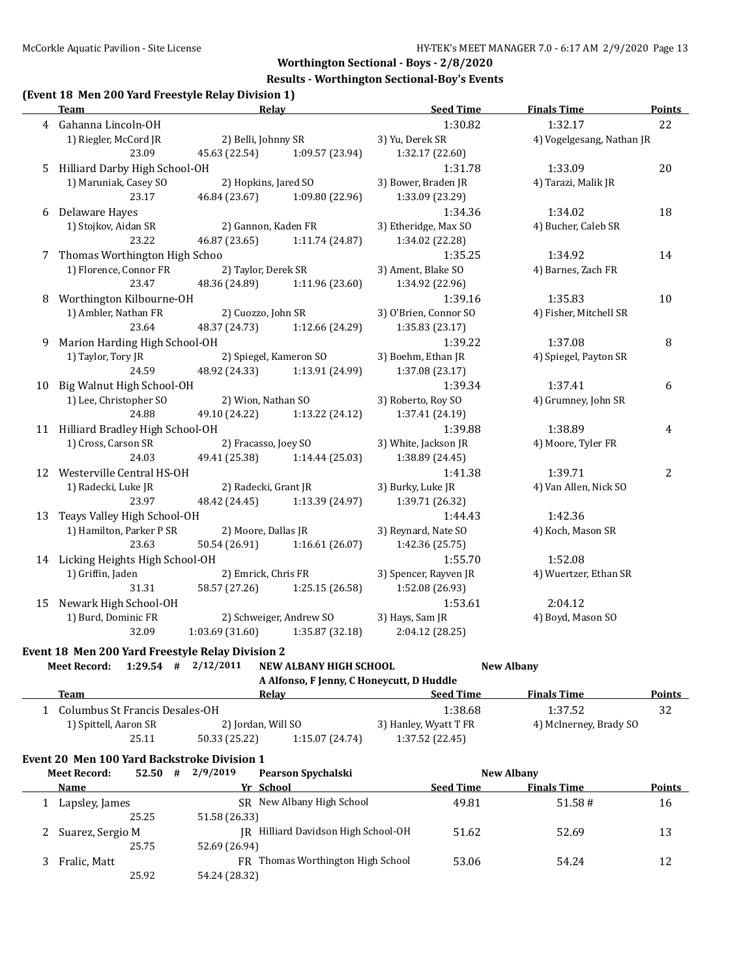### **Results - Worthington Sectional-Boy's Events**

## **(Event 18 Men 200 Yard Freestyle Relay Division 1)**

|    | <b>Team</b>                                             | Relay                |                         | <b>Seed Time</b>      | <b>Finals Time</b>        | <b>Points</b> |
|----|---------------------------------------------------------|----------------------|-------------------------|-----------------------|---------------------------|---------------|
|    | 4 Gahanna Lincoln-OH                                    |                      |                         | 1:30.82               | 1:32.17                   | 22            |
|    | 1) Riegler, McCord JR                                   | 2) Belli, Johnny SR  |                         | 3) Yu, Derek SR       | 4) Vogelgesang, Nathan JR |               |
|    | 23.09                                                   | 45.63 (22.54)        | 1:09.57 (23.94)         | 1:32.17 (22.60)       |                           |               |
| 5  | Hilliard Darby High School-OH                           |                      |                         | 1:31.78               | 1:33.09                   | 20            |
|    | 1) Maruniak, Casey SO                                   | 2) Hopkins, Jared SO |                         | 3) Bower, Braden JR   | 4) Tarazi, Malik JR       |               |
|    | 23.17                                                   | 46.84 (23.67)        | 1:09.80 (22.96)         | 1:33.09 (23.29)       |                           |               |
| 6  | Delaware Hayes                                          |                      |                         | 1:34.36               | 1:34.02                   | 18            |
|    | 1) Stojkov, Aidan SR                                    | 2) Gannon, Kaden FR  |                         | 3) Etheridge, Max SO  | 4) Bucher, Caleb SR       |               |
|    | 23.22                                                   | 46.87 (23.65)        | 1:11.74 (24.87)         | 1:34.02 (22.28)       |                           |               |
| 7  | Thomas Worthington High Schoo                           |                      |                         | 1:35.25               | 1:34.92                   | 14            |
|    | 1) Florence, Connor FR                                  | 2) Taylor, Derek SR  |                         | 3) Ament, Blake SO    | 4) Barnes, Zach FR        |               |
|    | 23.47                                                   | 48.36 (24.89)        | 1:11.96 (23.60)         | 1:34.92 (22.96)       |                           |               |
| 8  | Worthington Kilbourne-OH                                |                      |                         | 1:39.16               | 1:35.83                   | 10            |
|    | 1) Ambler, Nathan FR                                    | 2) Cuozzo, John SR   |                         | 3) O'Brien, Connor SO | 4) Fisher, Mitchell SR    |               |
|    | 23.64                                                   | 48.37 (24.73)        | 1:12.66 (24.29)         | 1:35.83 (23.17)       |                           |               |
| 9  | Marion Harding High School-OH                           |                      |                         | 1:39.22               | 1:37.08                   | 8             |
|    | 1) Taylor, Tory JR                                      |                      | 2) Spiegel, Kameron SO  | 3) Boehm, Ethan JR    | 4) Spiegel, Payton SR     |               |
|    | 24.59                                                   | 48.92 (24.33)        | 1:13.91 (24.99)         | 1:37.08 (23.17)       |                           |               |
| 10 | Big Walnut High School-OH                               |                      |                         | 1:39.34               | 1:37.41                   | 6             |
|    | 1) Lee, Christopher SO                                  | 2) Wion, Nathan SO   |                         | 3) Roberto, Roy SO    | 4) Grumney, John SR       |               |
|    | 24.88                                                   | 49.10 (24.22)        | 1:13.22 (24.12)         | 1:37.41 (24.19)       |                           |               |
|    | 11 Hilliard Bradley High School-OH                      |                      |                         | 1:39.88               | 1:38.89                   | 4             |
|    | 1) Cross, Carson SR                                     | 2) Fracasso, Joey SO |                         | 3) White, Jackson JR  | 4) Moore, Tyler FR        |               |
|    | 24.03                                                   | 49.41 (25.38)        | 1:14.44(25.03)          | 1:38.89 (24.45)       |                           |               |
|    | 12 Westerville Central HS-OH                            |                      |                         | 1:41.38               | 1:39.71                   | 2             |
|    | 1) Radecki, Luke JR                                     | 2) Radecki, Grant JR |                         | 3) Burky, Luke JR     | 4) Van Allen, Nick SO     |               |
|    | 23.97                                                   | 48.42 (24.45)        | 1:13.39 (24.97)         | 1:39.71 (26.32)       |                           |               |
| 13 | Teays Valley High School-OH                             |                      |                         | 1:44.43               | 1:42.36                   |               |
|    | 1) Hamilton, Parker P SR                                | 2) Moore, Dallas JR  |                         | 3) Reynard, Nate SO   | 4) Koch, Mason SR         |               |
|    | 23.63                                                   | 50.54 (26.91)        | 1:16.61(26.07)          | 1:42.36 (25.75)       |                           |               |
|    | 14 Licking Heights High School-OH                       |                      |                         | 1:55.70               | 1:52.08                   |               |
|    | 1) Griffin, Jaden                                       | 2) Emrick, Chris FR  |                         | 3) Spencer, Rayven JR | 4) Wuertzer, Ethan SR     |               |
|    | 31.31                                                   | 58.57 (27.26)        | 1:25.15 (26.58)         | 1:52.08 (26.93)       |                           |               |
| 15 | Newark High School-OH                                   |                      |                         | 1:53.61               | 2:04.12                   |               |
|    | 1) Burd, Dominic FR                                     |                      | 2) Schweiger, Andrew SO | 3) Hays, Sam JR       | 4) Boyd, Mason SO         |               |
|    | 32.09                                                   | 1:03.69(31.60)       | 1:35.87 (32.18)         | 2:04.12 (28.25)       |                           |               |
|    | <b>Frent 18 Men 200 Vard Freestyle Relay Division 2</b> |                      |                         |                       |                           |               |

# **Event 18 Men 200 Yard Freestyle Relay Division 2**

| Meet Record: $1:29.54$ # $2/12/2011$ |  | NEW ALBANY HIGH SCHOOL                    | <b>New Albany</b> |
|--------------------------------------|--|-------------------------------------------|-------------------|
|                                      |  | A Alfonso, F Jenny, C Honeycutt, D Huddle |                   |

| $\ldots$ $\ldots$              |                    |                |                       |                        |               |  |  |  |  |
|--------------------------------|--------------------|----------------|-----------------------|------------------------|---------------|--|--|--|--|
| <b>Team</b>                    | Relav              |                | <b>Seed Time</b>      | <b>Finals Time</b>     | <b>Points</b> |  |  |  |  |
| Columbus St Francis Desales-OH |                    |                | 1:38.68               | 1:37.52                | 32            |  |  |  |  |
| 1) Spittell, Aaron SR          | 2) Jordan, Will SO |                | 3) Hanley, Wyatt T FR | 4) McInerney, Brady SO |               |  |  |  |  |
| 25.11                          | 50.33 (25.22)      | 1:15.07(24.74) | 1:37.52(22.45)        |                        |               |  |  |  |  |
|                                |                    |                |                       |                        |               |  |  |  |  |

### **Event 20 Men 100 Yard Backstroke Division 1**

| <b>Meet Record:</b> | 52.50 | # | 2/9/2019      | <b>Pearson Spychalski</b>           |                  | <b>New Albany</b>  |               |
|---------------------|-------|---|---------------|-------------------------------------|------------------|--------------------|---------------|
| Name                |       |   |               | Yr School                           | <b>Seed Time</b> | <b>Finals Time</b> | <b>Points</b> |
| Lapsley, James      |       |   |               | SR New Albany High School           | 49.81            | 51.58#             | 16            |
|                     | 25.25 |   | 51.58 (26.33) |                                     |                  |                    |               |
| 2 Suarez, Sergio M  |       |   |               | JR Hilliard Davidson High School-OH | 51.62            | 52.69              | 13            |
|                     | 25.75 |   | 52.69 (26.94) |                                     |                  |                    |               |
| Fralic, Matt        |       |   |               | FR Thomas Worthington High School   | 53.06            | 54.24              | 12            |
|                     | 25.92 |   | 54.24 (28.32) |                                     |                  |                    |               |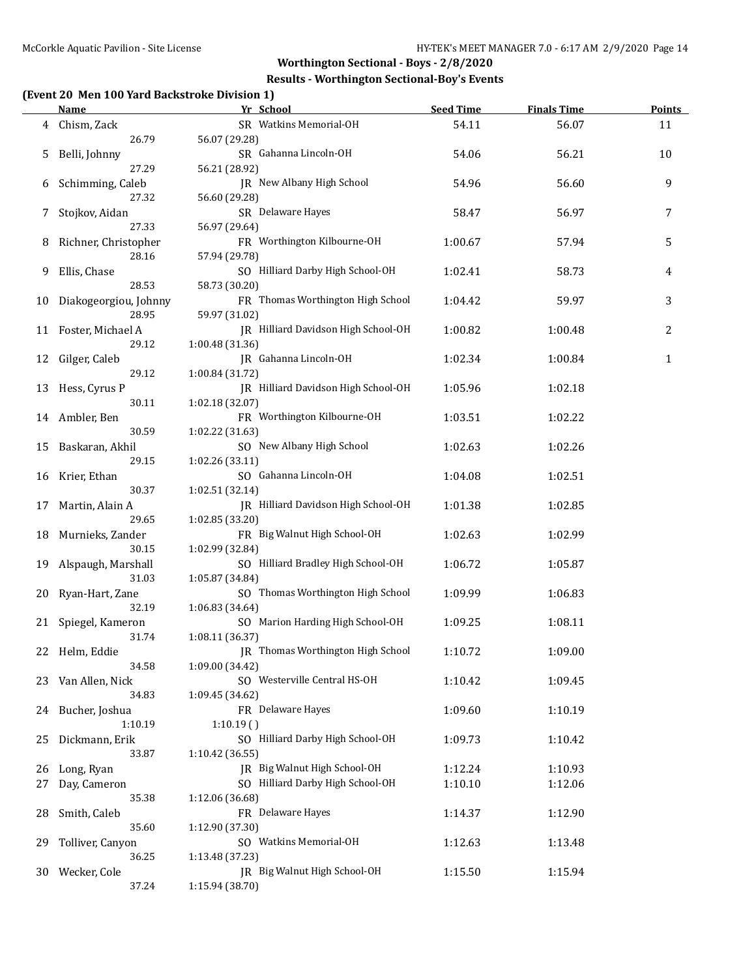## **Results - Worthington Sectional-Boy's Events**

## **(Event 20 Men 100 Yard Backstroke Division 1)**

|     | <b>Name</b>           | Yr School                           | <b>Seed Time</b> | <b>Finals Time</b> | <b>Points</b> |
|-----|-----------------------|-------------------------------------|------------------|--------------------|---------------|
| 4   | Chism, Zack           | SR Watkins Memorial-OH              | 54.11            | 56.07              | 11            |
|     | 26.79                 | 56.07 (29.28)                       |                  |                    |               |
| 5   | Belli, Johnny         | SR Gahanna Lincoln-OH               | 54.06            | 56.21              | 10            |
|     | 27.29                 | 56.21 (28.92)                       |                  |                    |               |
| 6   | Schimming, Caleb      | JR New Albany High School           | 54.96            | 56.60              | 9             |
|     | 27.32                 | 56.60 (29.28)                       |                  |                    |               |
| 7   | Stojkov, Aidan        | SR Delaware Hayes                   | 58.47            | 56.97              | 7             |
|     | 27.33                 | 56.97 (29.64)                       |                  |                    |               |
|     | Richner, Christopher  | FR Worthington Kilbourne-OH         |                  |                    | 5             |
| 8   |                       |                                     | 1:00.67          | 57.94              |               |
|     | 28.16                 | 57.94 (29.78)                       |                  |                    |               |
| 9   | Ellis, Chase          | SO Hilliard Darby High School-OH    | 1:02.41          | 58.73              | 4             |
|     | 28.53                 | 58.73 (30.20)                       |                  |                    |               |
| 10  | Diakogeorgiou, Johnny | FR Thomas Worthington High School   | 1:04.42          | 59.97              | 3             |
|     | 28.95                 | 59.97 (31.02)                       |                  |                    |               |
| 11  | Foster, Michael A     | JR Hilliard Davidson High School-OH | 1:00.82          | 1:00.48            | 2             |
|     | 29.12                 | 1:00.48 (31.36)                     |                  |                    |               |
| 12  | Gilger, Caleb         | JR Gahanna Lincoln-OH               | 1:02.34          | 1:00.84            | $\mathbf{1}$  |
|     | 29.12                 | 1:00.84 (31.72)                     |                  |                    |               |
| 13  | Hess, Cyrus P         | JR Hilliard Davidson High School-OH | 1:05.96          | 1:02.18            |               |
|     | 30.11                 | 1:02.18 (32.07)                     |                  |                    |               |
| 14  | Ambler, Ben           | FR Worthington Kilbourne-OH         | 1:03.51          | 1:02.22            |               |
|     | 30.59                 | 1:02.22 (31.63)                     |                  |                    |               |
| 15  | Baskaran, Akhil       | SO New Albany High School           | 1:02.63          | 1:02.26            |               |
|     | 29.15                 | 1:02.26 (33.11)                     |                  |                    |               |
| 16  | Krier, Ethan          | SO Gahanna Lincoln-OH               | 1:04.08          | 1:02.51            |               |
|     | 30.37                 | 1:02.51 (32.14)                     |                  |                    |               |
|     |                       | JR Hilliard Davidson High School-OH |                  |                    |               |
| 17  | Martin, Alain A       |                                     | 1:01.38          | 1:02.85            |               |
|     | 29.65                 | 1:02.85 (33.20)                     |                  |                    |               |
| 18  | Murnieks, Zander      | FR Big Walnut High School-OH        | 1:02.63          | 1:02.99            |               |
|     | 30.15                 | 1:02.99 (32.84)                     |                  |                    |               |
| 19  | Alspaugh, Marshall    | SO Hilliard Bradley High School-OH  | 1:06.72          | 1:05.87            |               |
|     | 31.03                 | 1:05.87 (34.84)                     |                  |                    |               |
| 20  | Ryan-Hart, Zane       | SO Thomas Worthington High School   | 1:09.99          | 1:06.83            |               |
|     | 32.19                 | 1:06.83 (34.64)                     |                  |                    |               |
| 21  | Spiegel, Kameron      | SO Marion Harding High School-OH    | 1:09.25          | 1:08.11            |               |
|     | 31.74                 | 1:08.11 (36.37)                     |                  |                    |               |
|     | 22 Helm, Eddie        | JR Thomas Worthington High School   | 1:10.72          | 1:09.00            |               |
|     | 34.58                 | 1:09.00 (34.42)                     |                  |                    |               |
| 23. | Van Allen, Nick       | SO Westerville Central HS-OH        | 1:10.42          | 1:09.45            |               |
|     | 34.83                 | 1:09.45 (34.62)                     |                  |                    |               |
| 24  | Bucher, Joshua        | FR Delaware Hayes                   | 1:09.60          | 1:10.19            |               |
|     | 1:10.19               | 1:10.19()                           |                  |                    |               |
| 25  | Dickmann, Erik        | SO Hilliard Darby High School-OH    | 1:09.73          | 1:10.42            |               |
|     | 33.87                 | 1:10.42 (36.55)                     |                  |                    |               |
| 26  | Long, Ryan            | JR Big Walnut High School-OH        | 1:12.24          | 1:10.93            |               |
|     | Day, Cameron          | SO Hilliard Darby High School-OH    |                  |                    |               |
| 27  |                       |                                     | 1:10.10          | 1:12.06            |               |
|     | 35.38                 | 1:12.06 (36.68)                     |                  |                    |               |
| 28  | Smith, Caleb          | FR Delaware Hayes                   | 1:14.37          | 1:12.90            |               |
|     | 35.60                 | 1:12.90 (37.30)                     |                  |                    |               |
| 29  | Tolliver, Canyon      | SO Watkins Memorial-OH              | 1:12.63          | 1:13.48            |               |
|     | 36.25                 | 1:13.48 (37.23)                     |                  |                    |               |
| 30  | Wecker, Cole          | JR Big Walnut High School-OH        | 1:15.50          | 1:15.94            |               |
|     | 37.24                 | 1:15.94 (38.70)                     |                  |                    |               |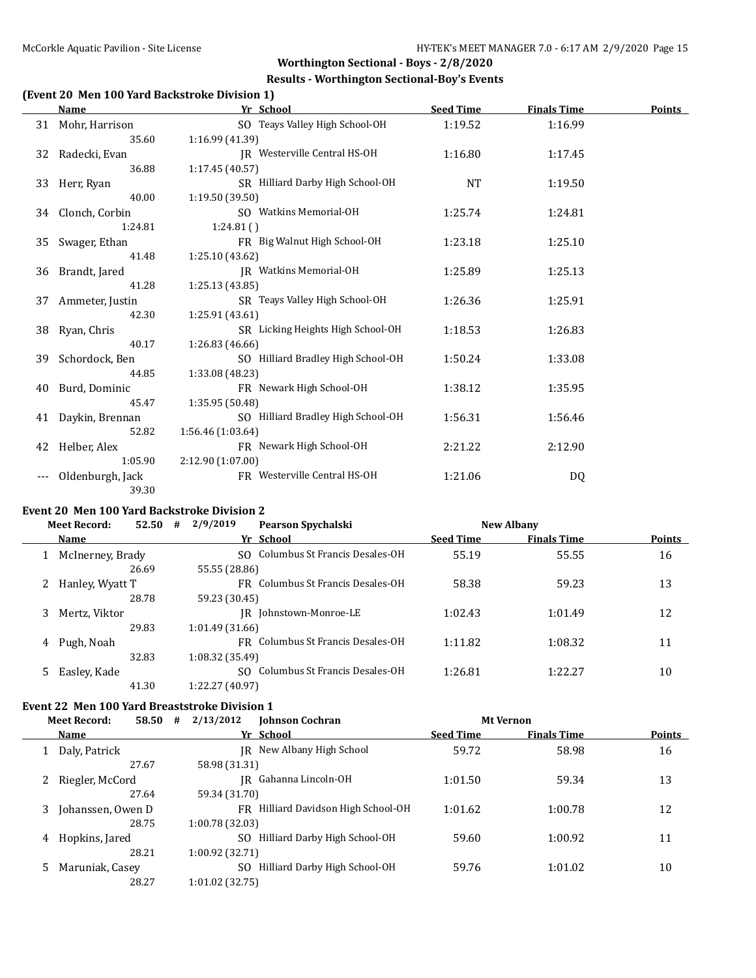### **Results - Worthington Sectional-Boy's Events**

# **(Event 20 Men 100 Yard Backstroke Division 1)**

|    | Name              | Yr School                          | <b>Seed Time</b> | <b>Finals Time</b> | <b>Points</b> |
|----|-------------------|------------------------------------|------------------|--------------------|---------------|
|    | 31 Mohr, Harrison | SO Teays Valley High School-OH     | 1:19.52          | 1:16.99            |               |
|    | 35.60             | 1:16.99 (41.39)                    |                  |                    |               |
| 32 | Radecki, Evan     | JR Westerville Central HS-OH       | 1:16.80          | 1:17.45            |               |
|    | 36.88             | 1:17.45 (40.57)                    |                  |                    |               |
| 33 | Herr, Ryan        | SR Hilliard Darby High School-OH   | <b>NT</b>        | 1:19.50            |               |
|    | 40.00             | 1:19.50(39.50)                     |                  |                    |               |
|    | 34 Clonch, Corbin | SO Watkins Memorial-OH             | 1:25.74          | 1:24.81            |               |
|    | 1:24.81           | 1:24.81()                          |                  |                    |               |
| 35 | Swager, Ethan     | FR Big Walnut High School-OH       | 1:23.18          | 1:25.10            |               |
|    | 41.48             | 1:25.10 (43.62)                    |                  |                    |               |
| 36 | Brandt, Jared     | <b>JR</b> Watkins Memorial-OH      | 1:25.89          | 1:25.13            |               |
|    | 41.28             | 1:25.13(43.85)                     |                  |                    |               |
| 37 | Ammeter, Justin   | SR Teays Valley High School-OH     | 1:26.36          | 1:25.91            |               |
|    | 42.30             | 1:25.91(43.61)                     |                  |                    |               |
| 38 | Ryan, Chris       | SR Licking Heights High School-OH  | 1:18.53          | 1:26.83            |               |
|    | 40.17             | 1:26.83 (46.66)                    |                  |                    |               |
| 39 | Schordock, Ben    | SO Hilliard Bradley High School-OH | 1:50.24          | 1:33.08            |               |
|    | 44.85             | 1:33.08 (48.23)                    |                  |                    |               |
| 40 | Burd, Dominic     | FR Newark High School-OH           | 1:38.12          | 1:35.95            |               |
|    | 45.47             | 1:35.95 (50.48)                    |                  |                    |               |
| 41 | Daykin, Brennan   | SO Hilliard Bradley High School-OH | 1:56.31          | 1:56.46            |               |
|    | 52.82             | 1:56.46(1:03.64)                   |                  |                    |               |
| 42 | Helber, Alex      | FR Newark High School-OH           | 2:21.22          | 2:12.90            |               |
|    | 1:05.90           | 2:12.90 (1:07.00)                  |                  |                    |               |
|    | Oldenburgh, Jack  | FR Westerville Central HS-OH       | 1:21.06          | DQ                 |               |
|    | 39.30             |                                    |                  |                    |               |

# **Event 20 Men 100 Yard Backstroke Division 2**

|    | <b>Meet Record:</b> |       | 2/9/2019<br>52.50<br># |                 | <b>Pearson Spychalski</b>         |                  | <b>New Albany</b>  |               |
|----|---------------------|-------|------------------------|-----------------|-----------------------------------|------------------|--------------------|---------------|
|    | <b>Name</b>         |       |                        |                 | Yr School                         | <b>Seed Time</b> | <b>Finals Time</b> | <b>Points</b> |
|    | McInerney, Brady    |       |                        |                 | SO Columbus St Francis Desales-OH | 55.19            | 55.55              | 16            |
|    |                     | 26.69 |                        | 55.55 (28.86)   |                                   |                  |                    |               |
|    | Hanley, Wyatt T     |       |                        |                 | FR Columbus St Francis Desales-OH | 58.38            | 59.23              | 13            |
|    |                     | 28.78 |                        | 59.23 (30.45)   |                                   |                  |                    |               |
| 3  | Mertz, Viktor       |       |                        |                 | IR Johnstown-Monroe-LE            | 1:02.43          | 1:01.49            | 12            |
|    |                     | 29.83 |                        | 1:01.49(31.66)  |                                   |                  |                    |               |
| 4  | Pugh, Noah          |       |                        |                 | FR Columbus St Francis Desales-OH | 1:11.82          | 1:08.32            | 11            |
|    |                     | 32.83 |                        | 1:08.32(35.49)  |                                   |                  |                    |               |
| 5. | Easley, Kade        |       |                        | SO.             | Columbus St Francis Desales-OH    | 1:26.81          | 1:22.27            | 10            |
|    |                     | 41.30 |                        | 1:22.27 (40.97) |                                   |                  |                    |               |

### **Event 22 Men 100 Yard Breaststroke Division 1**

|   | 2/13/2012<br><b>Meet Record:</b><br>58.50<br><b>Johnson Cochran</b><br># |                   |                                  |                  | <b>Mt Vernon</b>   |               |
|---|--------------------------------------------------------------------------|-------------------|----------------------------------|------------------|--------------------|---------------|
|   | Name                                                                     |                   | Yr School                        | <b>Seed Time</b> | <b>Finals Time</b> | <b>Points</b> |
|   | Daly, Patrick                                                            |                   | IR New Albany High School        | 59.72            | 58.98              | 16            |
|   | 27.67                                                                    | 58.98 (31.31)     |                                  |                  |                    |               |
|   | Riegler, McCord                                                          | IR                | Gahanna Lincoln-OH               | 1:01.50          | 59.34              | 13            |
|   | 27.64                                                                    | 59.34 (31.70)     |                                  |                  |                    |               |
| 3 | Johanssen, Owen D                                                        | FR.               | Hilliard Davidson High School-OH | 1:01.62          | 1:00.78            | 12            |
|   | 28.75                                                                    | 1:00.78(32.03)    |                                  |                  |                    |               |
| 4 | Hopkins, Jared                                                           | SO.               | Hilliard Darby High School-OH    | 59.60            | 1:00.92            | 11            |
|   | 28.21                                                                    | 1:00.92(32.71)    |                                  |                  |                    |               |
|   | Maruniak, Casey                                                          | SO.               | Hilliard Darby High School-OH    | 59.76            | 1:01.02            | 10            |
|   | 28.27                                                                    | $1:01.02$ (32.75) |                                  |                  |                    |               |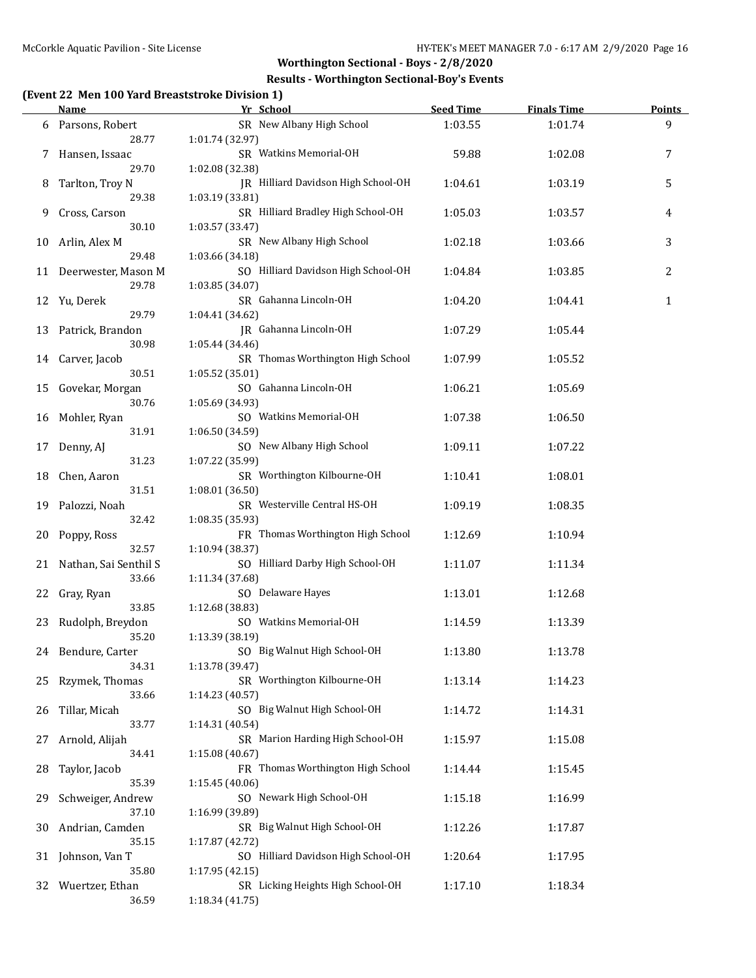## **Results - Worthington Sectional-Boy's Events**

# **(Event 22 Men 100 Yard Breaststroke Division 1)**

|    | <u>Name</u>              | Yr School                                              | <b>Seed Time</b> | <b>Finals Time</b> | <b>Points</b> |
|----|--------------------------|--------------------------------------------------------|------------------|--------------------|---------------|
| 6  | Parsons, Robert          | SR New Albany High School                              | 1:03.55          | 1:01.74            | 9             |
|    | 28.77                    | 1:01.74 (32.97)                                        |                  |                    |               |
| 7  | Hansen, Issaac           | SR Watkins Memorial-OH                                 | 59.88            | 1:02.08            | 7             |
|    | 29.70                    | 1:02.08 (32.38)                                        |                  |                    |               |
| 8  | Tarlton, Troy N          | JR Hilliard Davidson High School-OH                    | 1:04.61          | 1:03.19            | 5             |
|    | 29.38                    | 1:03.19 (33.81)                                        |                  |                    |               |
| 9  | Cross, Carson            | SR Hilliard Bradley High School-OH                     | 1:05.03          | 1:03.57            | 4             |
|    | 30.10                    | 1:03.57 (33.47)                                        |                  |                    |               |
| 10 | Arlin, Alex M            | SR New Albany High School                              | 1:02.18          | 1:03.66            | 3             |
|    | 29.48                    | 1:03.66 (34.18)                                        |                  |                    |               |
|    | 11 Deerwester, Mason M   | SO Hilliard Davidson High School-OH                    | 1:04.84          | 1:03.85            | 2             |
|    | 29.78                    | 1:03.85 (34.07)                                        |                  |                    |               |
| 12 | Yu, Derek                | SR Gahanna Lincoln-OH                                  | 1:04.20          | 1:04.41            | $\mathbf{1}$  |
|    | 29.79                    | 1:04.41 (34.62)                                        |                  |                    |               |
| 13 | Patrick, Brandon         | JR Gahanna Lincoln-OH                                  | 1:07.29          | 1:05.44            |               |
|    | 30.98                    | 1:05.44 (34.46)                                        |                  |                    |               |
| 14 | Carver, Jacob            | SR Thomas Worthington High School                      | 1:07.99          | 1:05.52            |               |
|    | 30.51                    | 1:05.52 (35.01)                                        |                  |                    |               |
| 15 | Govekar, Morgan          | SO Gahanna Lincoln-OH                                  | 1:06.21          | 1:05.69            |               |
|    | 30.76                    | 1:05.69 (34.93)                                        |                  |                    |               |
| 16 | Mohler, Ryan             | SO Watkins Memorial-OH                                 | 1:07.38          | 1:06.50            |               |
|    | 31.91                    | 1:06.50 (34.59)                                        |                  |                    |               |
| 17 | Denny, AJ                | SO New Albany High School                              | 1:09.11          | 1:07.22            |               |
|    | 31.23                    | 1:07.22 (35.99)                                        |                  |                    |               |
| 18 | Chen, Aaron              | SR Worthington Kilbourne-OH                            | 1:10.41          | 1:08.01            |               |
|    | 31.51                    | 1:08.01 (36.50)                                        |                  |                    |               |
| 19 | Palozzi, Noah            | SR Westerville Central HS-OH                           | 1:09.19          | 1:08.35            |               |
|    | 32.42                    | 1:08.35 (35.93)                                        |                  |                    |               |
| 20 | Poppy, Ross              | FR Thomas Worthington High School                      | 1:12.69          | 1:10.94            |               |
|    | 32.57                    | 1:10.94 (38.37)                                        |                  |                    |               |
|    | 21 Nathan, Sai Senthil S | SO Hilliard Darby High School-OH                       | 1:11.07          | 1:11.34            |               |
|    | 33.66                    | 1:11.34 (37.68)                                        |                  |                    |               |
| 22 | Gray, Ryan               | SO Delaware Hayes                                      | 1:13.01          | 1:12.68            |               |
|    | 33.85                    | 1:12.68 (38.83)                                        |                  |                    |               |
| 23 | Rudolph, Breydon         | SO Watkins Memorial-OH                                 | 1:14.59          | 1:13.39            |               |
|    | 35.20                    | 1:13.39 (38.19)                                        |                  |                    |               |
|    | 24 Bendure, Carter       | SO Big Walnut High School-OH                           | 1:13.80          | 1:13.78            |               |
|    | 34.31                    | 1:13.78 (39.47)                                        |                  |                    |               |
| 25 | Rzymek, Thomas           | SR Worthington Kilbourne-OH                            | 1:13.14          | 1:14.23            |               |
|    | 33.66                    | 1:14.23 (40.57)                                        |                  |                    |               |
| 26 | Tillar, Micah            | SO Big Walnut High School-OH                           | 1:14.72          | 1:14.31            |               |
|    | 33.77                    | 1:14.31 (40.54)                                        |                  |                    |               |
| 27 | Arnold, Alijah           | SR Marion Harding High School-OH                       | 1:15.97          | 1:15.08            |               |
|    | 34.41                    | 1:15.08 (40.67)                                        |                  |                    |               |
| 28 | Taylor, Jacob            | FR Thomas Worthington High School                      | 1:14.44          | 1:15.45            |               |
|    | 35.39                    | 1:15.45(40.06)                                         |                  |                    |               |
| 29 | Schweiger, Andrew        | SO Newark High School-OH                               | 1:15.18          | 1:16.99            |               |
|    | 37.10                    | 1:16.99 (39.89)                                        |                  |                    |               |
| 30 | Andrian, Camden          | SR Big Walnut High School-OH                           | 1:12.26          | 1:17.87            |               |
|    | 35.15                    | 1:17.87 (42.72)<br>SO Hilliard Davidson High School-OH |                  |                    |               |
| 31 | Johnson, Van T           |                                                        | 1:20.64          | 1:17.95            |               |
|    | 35.80                    | 1:17.95 (42.15)<br>SR Licking Heights High School-OH   |                  |                    |               |
| 32 | Wuertzer, Ethan<br>36.59 |                                                        | 1:17.10          | 1:18.34            |               |
|    |                          | 1:18.34 (41.75)                                        |                  |                    |               |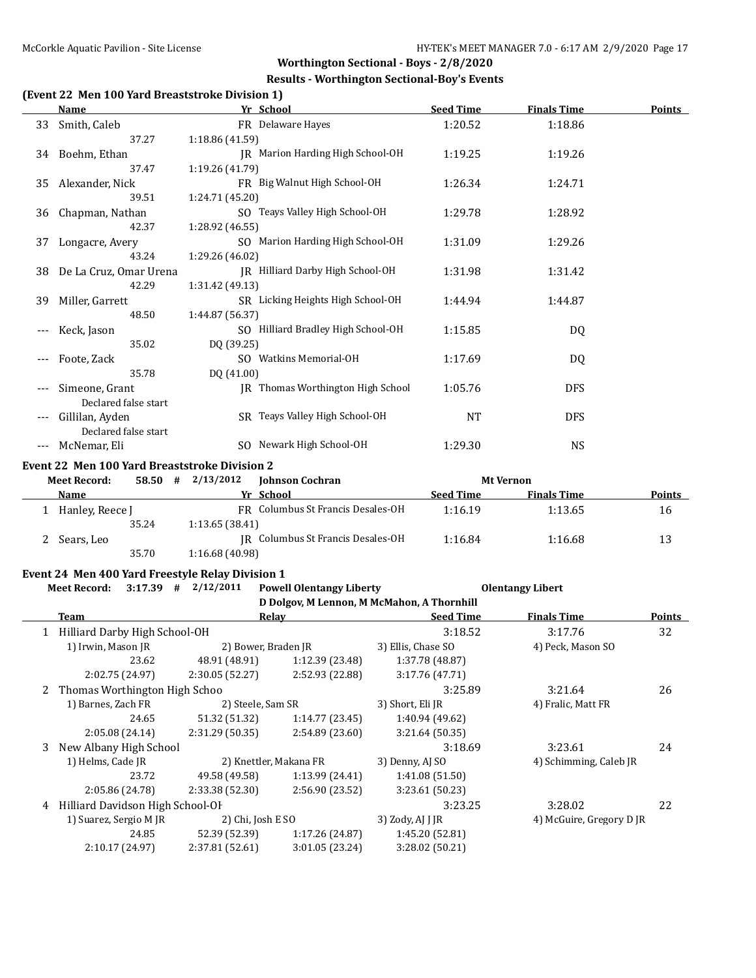### **Results - Worthington Sectional-Boy's Events**

# **(Event 22 Men 100 Yard Breaststroke Division 1)**

|     | <b>Name</b>                             | Yr School                          | <b>Seed Time</b> | <b>Finals Time</b> | <b>Points</b> |
|-----|-----------------------------------------|------------------------------------|------------------|--------------------|---------------|
| 33  | Smith, Caleb                            | FR Delaware Hayes                  | 1:20.52          | 1:18.86            |               |
|     | 37.27                                   | 1:18.86 (41.59)                    |                  |                    |               |
|     | 34 Boehm, Ethan                         | JR Marion Harding High School-OH   | 1:19.25          | 1:19.26            |               |
|     | 37.47                                   | 1:19.26 (41.79)                    |                  |                    |               |
| 35  | Alexander, Nick                         | FR Big Walnut High School-OH       | 1:26.34          | 1:24.71            |               |
|     | 39.51                                   | 1:24.71 (45.20)                    |                  |                    |               |
| 36  | Chapman, Nathan                         | SO Teays Valley High School-OH     | 1:29.78          | 1:28.92            |               |
|     | 42.37                                   | 1:28.92 (46.55)                    |                  |                    |               |
| 37  | Longacre, Avery                         | SO Marion Harding High School-OH   | 1:31.09          | 1:29.26            |               |
|     | 43.24                                   | 1:29.26 (46.02)                    |                  |                    |               |
| 38. | De La Cruz, Omar Urena                  | IR Hilliard Darby High School-OH   | 1:31.98          | 1:31.42            |               |
|     | 42.29                                   | 1:31.42 (49.13)                    |                  |                    |               |
| 39  | Miller, Garrett                         | SR Licking Heights High School-OH  | 1:44.94          | 1:44.87            |               |
|     | 48.50                                   | 1:44.87 (56.37)                    |                  |                    |               |
|     | Keck, Jason                             | SO Hilliard Bradley High School-OH | 1:15.85          | DQ                 |               |
|     | 35.02                                   | DQ (39.25)                         |                  |                    |               |
|     | Foote, Zack                             | SO Watkins Memorial-OH             | 1:17.69          | DQ                 |               |
|     | 35.78                                   | DQ (41.00)                         |                  |                    |               |
|     | Simeone, Grant                          | IR Thomas Worthington High School  | 1:05.76          | <b>DFS</b>         |               |
|     | Declared false start                    |                                    |                  |                    |               |
|     | Gillilan, Ayden<br>Declared false start | SR Teays Valley High School-OH     | NT               | <b>DFS</b>         |               |
|     | McNemar, Eli                            | SO Newark High School-OH           | 1:29.30          | NS.                |               |
|     |                                         |                                    |                  |                    |               |

#### **Event 22 Men 100 Yard Breaststroke Division 2**

| <b>Meet Record:</b> | 58.50 | 2/13/2012<br># | <b>Johnson Cochran</b>            |                  | <b>Mt Vernon</b>   |               |
|---------------------|-------|----------------|-----------------------------------|------------------|--------------------|---------------|
| Name                |       |                | Yr School                         | <b>Seed Time</b> | <b>Finals Time</b> | <b>Points</b> |
| Hanley, Reece J     |       |                | FR Columbus St Francis Desales-OH | 1:16.19          | 1:13.65            | 16            |
|                     | 35.24 | 1:13.65(38.41) |                                   |                  |                    |               |
| Sears, Leo          |       |                | IR Columbus St Francis Desales-OH | 1:16.84          | 1:16.68            | 13            |
|                     | 35.70 | 1:16.68(40.98) |                                   |                  |                    |               |

#### **Event 24 Men 400 Yard Freestyle Relay Division 1**

#### **Meet Record: 3:17.39 # 2/12/2011 Powell Olentangy Liberty Olentangy Libert**

### **D Dolgov, M Lennon, M McMahon, A Thornhill**

|   |                                             |                        |                    | D DUIZOV, M LEHHOH, M MCMAHOH, A THUI HIHH |                        |               |
|---|---------------------------------------------|------------------------|--------------------|--------------------------------------------|------------------------|---------------|
|   | Team                                        | Relay                  |                    | <b>Seed Time</b>                           | <b>Finals Time</b>     | <b>Points</b> |
|   | 1 Hilliard Darby High School-OH             |                        |                    | 3:18.52                                    | 3:17.76                | 32            |
|   | 1) Irwin, Mason JR                          | 2) Bower, Braden JR    |                    | 3) Ellis, Chase SO                         | 4) Peck, Mason SO      |               |
|   | 23.62                                       | 48.91 (48.91)          | 1:12.39(23.48)     | 1:37.78 (48.87)                            |                        |               |
|   | 2:02.75 (24.97)                             | 2:30.05(52.27)         | 2:52.93 (22.88)    | 3:17.76(47.71)                             |                        |               |
|   | 2 Thomas Worthington High Schoo             |                        |                    | 3:25.89                                    | 3:21.64                | 26            |
|   | 1) Barnes, Zach FR                          | 2) Steele, Sam SR      |                    | 3) Short, Eli JR                           | 4) Fralic, Matt FR     |               |
|   | 24.65                                       | 51.32 (51.32)          | 1:14.77(23.45)     | 1:40.94 (49.62)                            |                        |               |
|   | 2:05.08(24.14)                              | 2:31.29(50.35)         | 2:54.89(23.60)     | 3:21.64(50.35)                             |                        |               |
| 3 | New Albany High School                      |                        |                    | 3:18.69                                    | 3:23.61                | 24            |
|   | 1) Helms, Cade JR                           | 2) Knettler, Makana FR |                    | 3) Denny, AJ SO                            | 4) Schimming, Caleb JR |               |
|   | 23.72                                       | 49.58 (49.58)          | 1:13.99(24.41)     | 1:41.08(51.50)                             |                        |               |
|   | 2:05.86 (24.78)                             | 2:33.38 (52.30)        | 2:56.90 (23.52)    | 3:23.61 (50.23)                            |                        |               |
| 4 | Hilliard Davidson High School-OF            |                        |                    | 3:23.25                                    | 3:28.02                | 22            |
|   | 1) Suarez, Sergio M JR<br>2) Chi, Josh E SO |                        | 3) Zody, $AI$ J JR | 4) McGuire, Gregory D JR                   |                        |               |
|   | 24.85                                       | 52.39 (52.39)          | 1:17.26(24.87)     | 1:45.20(52.81)                             |                        |               |
|   | 2:10.17 (24.97)                             | 2:37.81 (52.61)        | 3:01.05 (23.24)    | 3:28.02 (50.21)                            |                        |               |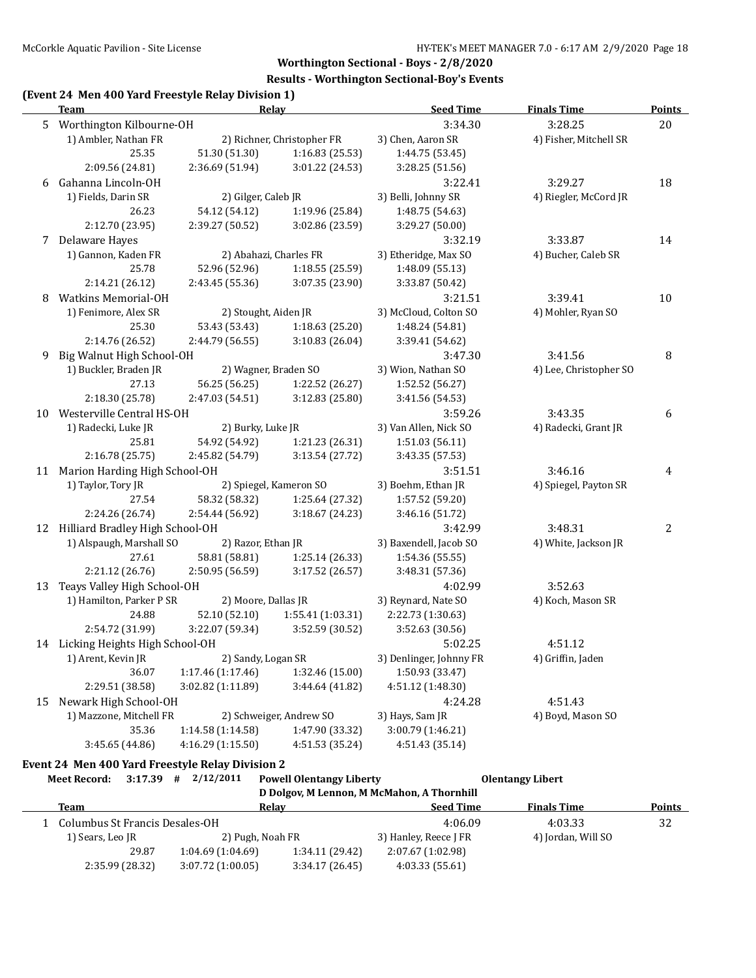### **Results - Worthington Sectional-Boy's Events**

## **(Event 24 Men 400 Yard Freestyle Relay Division 1)**

|    | <b>Team</b>                       |                      | Relay                      | <b>Seed Time</b>        | <b>Finals Time</b>     | <b>Points</b> |
|----|-----------------------------------|----------------------|----------------------------|-------------------------|------------------------|---------------|
|    | 5 Worthington Kilbourne-OH        |                      |                            | 3:34.30                 | 3:28.25                | 20            |
|    | 1) Ambler, Nathan FR              |                      | 2) Richner, Christopher FR | 3) Chen, Aaron SR       | 4) Fisher, Mitchell SR |               |
|    | 25.35                             | 51.30 (51.30)        | 1:16.83 (25.53)            | 1:44.75 (53.45)         |                        |               |
|    | 2:09.56 (24.81)                   | 2:36.69 (51.94)      | 3:01.22 (24.53)            | 3:28.25 (51.56)         |                        |               |
| 6  | Gahanna Lincoln-OH                |                      |                            | 3:22.41                 | 3:29.27                | 18            |
|    | 1) Fields, Darin SR               | 2) Gilger, Caleb JR  |                            | 3) Belli, Johnny SR     | 4) Riegler, McCord JR  |               |
|    | 26.23                             | 54.12 (54.12)        | 1:19.96 (25.84)            | 1:48.75 (54.63)         |                        |               |
|    | 2:12.70 (23.95)                   | 2:39.27 (50.52)      | 3:02.86 (23.59)            | 3:29.27 (50.00)         |                        |               |
| 7  | Delaware Hayes                    |                      |                            | 3:32.19                 | 3:33.87                | 14            |
|    | 1) Gannon, Kaden FR               |                      | 2) Abahazi, Charles FR     | 3) Etheridge, Max SO    | 4) Bucher, Caleb SR    |               |
|    | 25.78                             | 52.96 (52.96)        | 1:18.55 (25.59)            | 1:48.09 (55.13)         |                        |               |
|    | 2:14.21 (26.12)                   | 2:43.45 (55.36)      | 3:07.35 (23.90)            | 3:33.87 (50.42)         |                        |               |
| 8  | <b>Watkins Memorial-OH</b>        |                      |                            | 3:21.51                 | 3:39.41                | 10            |
|    | 1) Fenimore, Alex SR              | 2) Stought, Aiden JR |                            | 3) McCloud, Colton SO   | 4) Mohler, Ryan SO     |               |
|    | 25.30                             | 53.43 (53.43)        | 1:18.63 (25.20)            | 1:48.24 (54.81)         |                        |               |
|    | 2:14.76 (26.52)                   | 2:44.79 (56.55)      | 3:10.83 (26.04)            | 3:39.41 (54.62)         |                        |               |
| 9  | Big Walnut High School-OH         |                      |                            | 3:47.30                 | 3:41.56                | 8             |
|    | 1) Buckler, Braden JR             | 2) Wagner, Braden SO |                            | 3) Wion, Nathan SO      | 4) Lee, Christopher SO |               |
|    | 27.13                             | 56.25 (56.25)        | 1:22.52 (26.27)            | 1:52.52 (56.27)         |                        |               |
|    | 2:18.30 (25.78)                   | 2:47.03 (54.51)      | 3:12.83 (25.80)            | 3:41.56 (54.53)         |                        |               |
| 10 | Westerville Central HS-OH         |                      |                            | 3:59.26                 | 3:43.35                | 6             |
|    | 1) Radecki, Luke JR               | 2) Burky, Luke JR    |                            | 3) Van Allen, Nick SO   | 4) Radecki, Grant JR   |               |
|    | 25.81                             | 54.92 (54.92)        | 1:21.23 (26.31)            | 1:51.03 (56.11)         |                        |               |
|    | 2:16.78 (25.75)                   | 2:45.82 (54.79)      | 3:13.54 (27.72)            | 3:43.35 (57.53)         |                        |               |
| 11 | Marion Harding High School-OH     |                      |                            | 3:51.51                 | 3:46.16                | 4             |
|    | 1) Taylor, Tory JR                |                      | 2) Spiegel, Kameron SO     | 3) Boehm, Ethan JR      | 4) Spiegel, Payton SR  |               |
|    | 27.54                             | 58.32 (58.32)        | 1:25.64 (27.32)            | 1:57.52 (59.20)         |                        |               |
|    | 2:24.26 (26.74)                   | 2:54.44 (56.92)      | 3:18.67 (24.23)            | 3:46.16 (51.72)         |                        |               |
| 12 | Hilliard Bradley High School-OH   |                      |                            | 3:42.99                 | 3:48.31                | 2             |
|    | 1) Alspaugh, Marshall SO          | 2) Razor, Ethan JR   |                            | 3) Baxendell, Jacob SO  | 4) White, Jackson JR   |               |
|    | 27.61                             | 58.81 (58.81)        | 1:25.14 (26.33)            | 1:54.36 (55.55)         |                        |               |
|    | 2:21.12 (26.76)                   | 2:50.95 (56.59)      | 3:17.52 (26.57)            | 3:48.31 (57.36)         |                        |               |
| 13 | Teays Valley High School-OH       |                      |                            | 4:02.99                 | 3:52.63                |               |
|    | 1) Hamilton, Parker P SR          | 2) Moore, Dallas JR  |                            | 3) Reynard, Nate SO     | 4) Koch, Mason SR      |               |
|    | 24.88                             | 52.10 (52.10)        | 1:55.41 (1:03.31)          | 2:22.73 (1:30.63)       |                        |               |
|    | 2:54.72 (31.99)                   | 3:22.07 (59.34)      | 3:52.59 (30.52)            | 3:52.63 (30.56)         |                        |               |
|    | 14 Licking Heights High School-OH |                      |                            | 5:02.25                 | 4:51.12                |               |
|    | 1) Arent, Kevin JR                | 2) Sandy, Logan SR   |                            | 3) Denlinger, Johnny FR | 4) Griffin, Jaden      |               |
|    | 36.07                             | 1:17.46(1:17.46)     | 1:32.46 (15.00)            | 1:50.93 (33.47)         |                        |               |
|    | 2:29.51 (38.58)                   | 3:02.82 (1:11.89)    | 3:44.64 (41.82)            | 4:51.12 (1:48.30)       |                        |               |
| 15 | Newark High School-OH             |                      |                            | 4:24.28                 | 4:51.43                |               |
|    | 1) Mazzone, Mitchell FR           |                      | 2) Schweiger, Andrew SO    | 3) Hays, Sam JR         | 4) Boyd, Mason SO      |               |
|    | 35.36                             | 1:14.58 (1:14.58)    | 1:47.90 (33.32)            | 3:00.79 (1:46.21)       |                        |               |
|    | 3:45.65 (44.86)                   | 4:16.29 (1:15.50)    | 4:51.53 (35.24)            | 4:51.43 (35.14)         |                        |               |
|    |                                   |                      |                            |                         |                        |               |

# **Event 24 Men 400 Yard Freestyle Relay Division 2**<br>Mest Besendy 2:17.20  $\pm$  2/12/2011 - Powell Ole

| Meet Record:                   | 3:17.39         | 2/12/2011<br>#   | <b>Powell Olentangy Liberty</b> |                                            | <b>Olentangy Libert</b> |               |
|--------------------------------|-----------------|------------------|---------------------------------|--------------------------------------------|-------------------------|---------------|
|                                |                 |                  |                                 | D Dolgov, M Lennon, M McMahon, A Thornhill |                         |               |
| Team                           |                 |                  | Relay                           | <b>Seed Time</b>                           | <b>Finals Time</b>      | <b>Points</b> |
| Columbus St Francis Desales-OH |                 |                  |                                 | 4:06.09                                    | 4:03.33                 | 32            |
| 1) Sears, Leo JR               |                 | 2) Pugh, Noah FR |                                 | 3) Hanley, Reece J FR                      | 4) Jordan, Will SO      |               |
|                                | 29.87           | 1:04.69(1:04.69) | 1:34.11 (29.42)                 | 2:07.67 (1:02.98)                          |                         |               |
|                                | 2:35.99 (28.32) | 3:07.72(1:00.05) | 3:34.17(26.45)                  | 4:03.33(55.61)                             |                         |               |